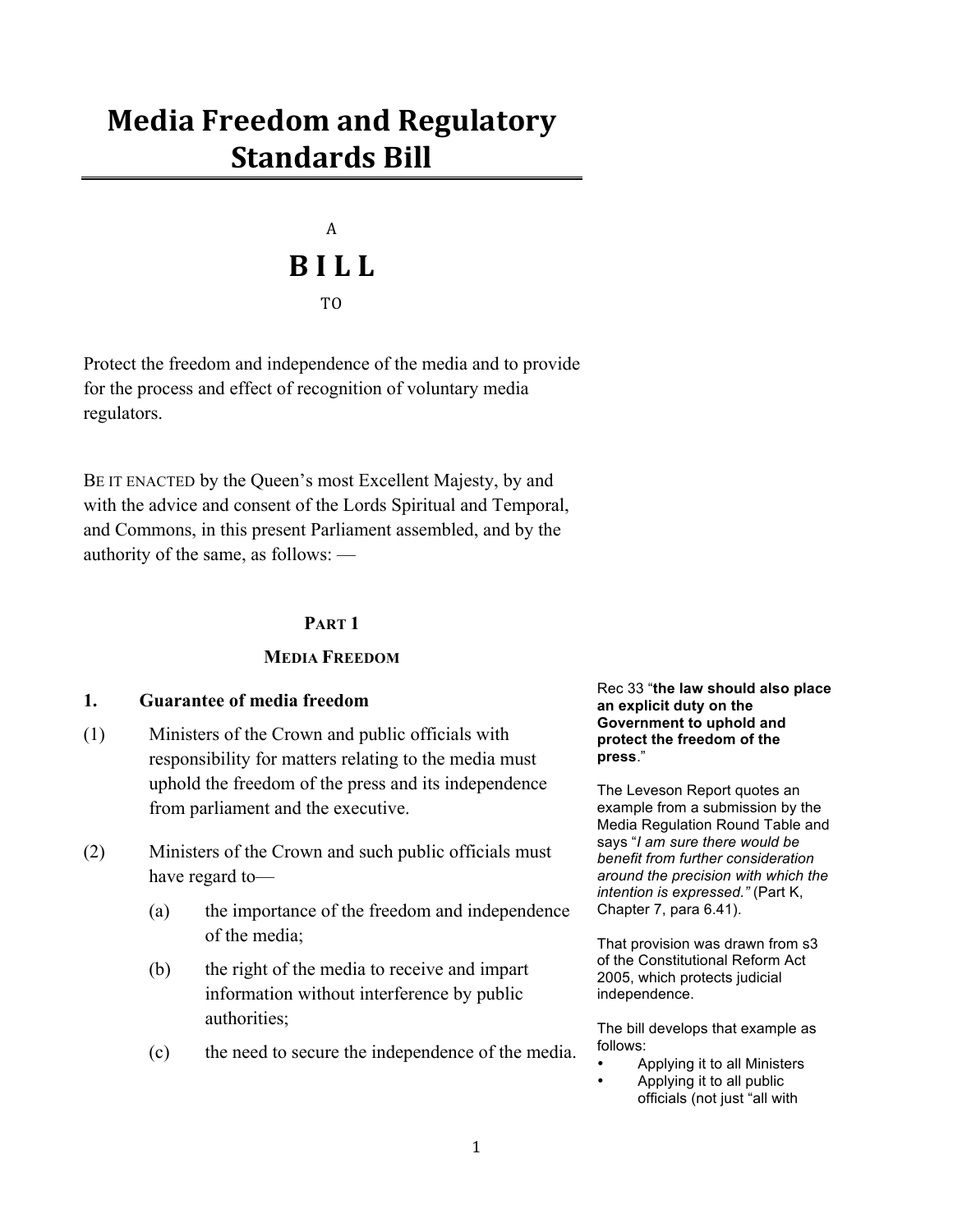# **Media Freedom and Regulatory 20 Standards Bill**

# $\mathbf{A}$ **A 11. I**.  $T()$

Protect the freedom and independence of the media and to provide for the process and effect of recognition of voluntary media regulators.

BE IT ENACTED by the Queen's most Excellent Majesty, by and with the advice and consent of the Lords Spiritual and Temporal, and Commons, in this present Parliament assembled, and by the authority of the same, as follows: —

# **PART 1**

# **MEDIA FREEDOM**

# **1. Guarantee of media freedom**

- (1) Ministers of the Crown and public officials with responsibility for matters relating to the media must uphold the freedom of the press and its independence from parliament and the executive.
- (2) Ministers of the Crown and such public officials must have regard to—
	- (a) the importance of the freedom and independence of the media;
	- (b) the right of the media to receive and impart information without interference by public authorities;
	- (c) the need to secure the independence of the media.

#### Rec 33 "**the law should also place an explicit duty on the Government to uphold and protect the freedom of the press**."

The Leveson Report quotes an example from a submission by the Media Regulation Round Table and says "*I am sure there would be benefit from further consideration around the precision with which the intention is expressed."* (Part K, Chapter 7, para 6.41).

That provision was drawn from s3 of the Constitutional Reform Act 2005, which protects judicial independence.

The bill develops that example as follows:

- Applying it to all Ministers
- Applying it to all public officials (not just "all with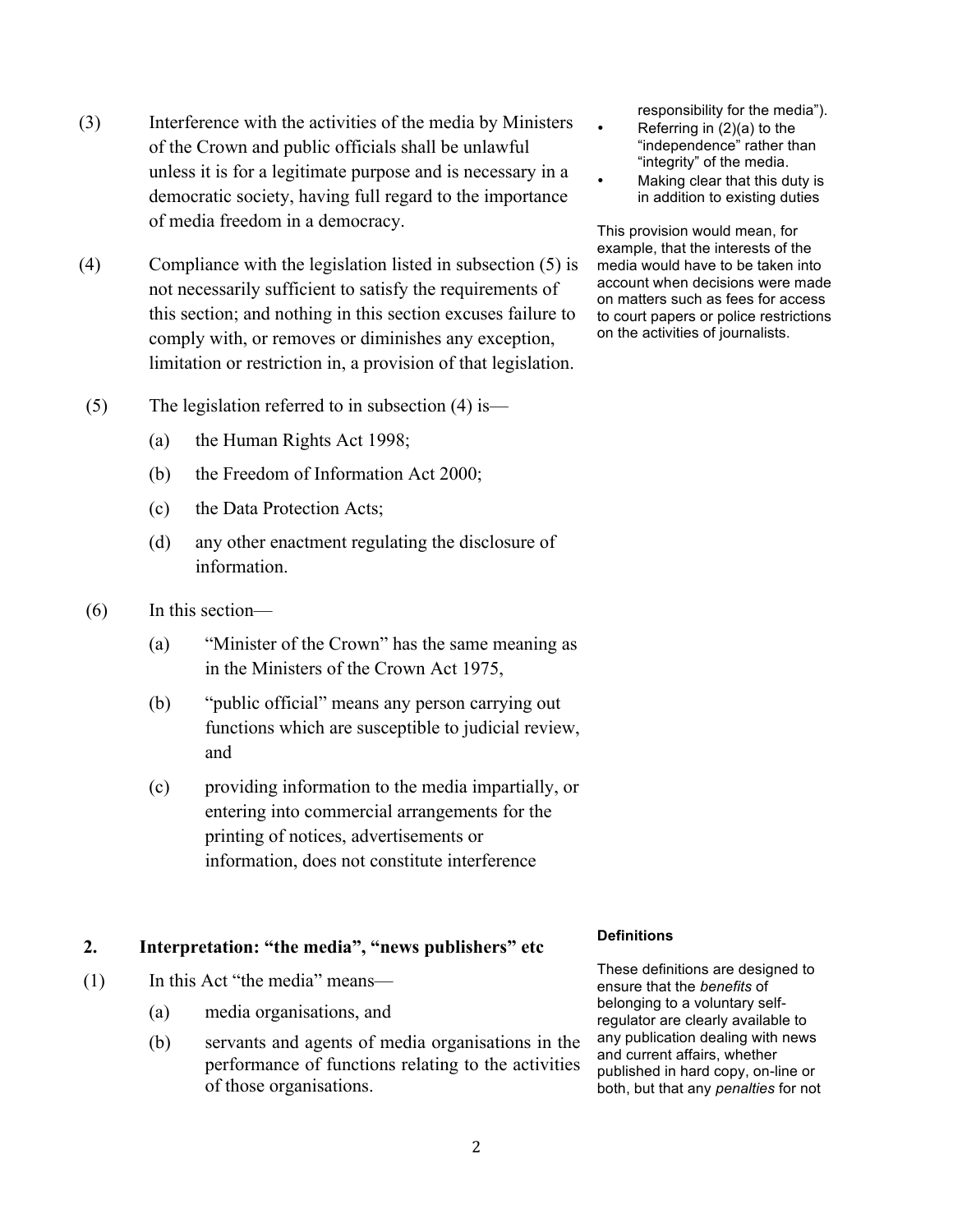- (3) Interference with the activities of the media by Ministers of the Crown and public officials shall be unlawful unless it is for a legitimate purpose and is necessary in a democratic society, having full regard to the importance of media freedom in a democracy.
- (4) Compliance with the legislation listed in subsection (5) is not necessarily sufficient to satisfy the requirements of this section; and nothing in this section excuses failure to comply with, or removes or diminishes any exception, limitation or restriction in, a provision of that legislation.
- (5) The legislation referred to in subsection (4) is—
	- (a) the Human Rights Act 1998;
	- (b) the Freedom of Information Act 2000;
	- (c) the Data Protection Acts;
	- (d) any other enactment regulating the disclosure of information.
- (6) In this section—
	- (a) "Minister of the Crown" has the same meaning as in the Ministers of the Crown Act 1975,
	- (b) "public official" means any person carrying out functions which are susceptible to judicial review, and
	- (c) providing information to the media impartially, or entering into commercial arrangements for the printing of notices, advertisements or information, does not constitute interference

# **2. Interpretation: "the media", "news publishers" etc**

- (1) In this Act "the media" means—
	- (a) media organisations, and
	- (b) servants and agents of media organisations in the performance of functions relating to the activities of those organisations.

responsibility for the media").

- Referring in  $(2)(a)$  to the "independence" rather than "integrity" of the media.
- Making clear that this duty is in addition to existing duties

This provision would mean, for example, that the interests of the media would have to be taken into account when decisions were made on matters such as fees for access to court papers or police restrictions on the activities of journalists.

#### **Definitions**

These definitions are designed to ensure that the *benefits* of belonging to a voluntary selfregulator are clearly available to any publication dealing with news and current affairs, whether published in hard copy, on-line or both, but that any *penalties* for not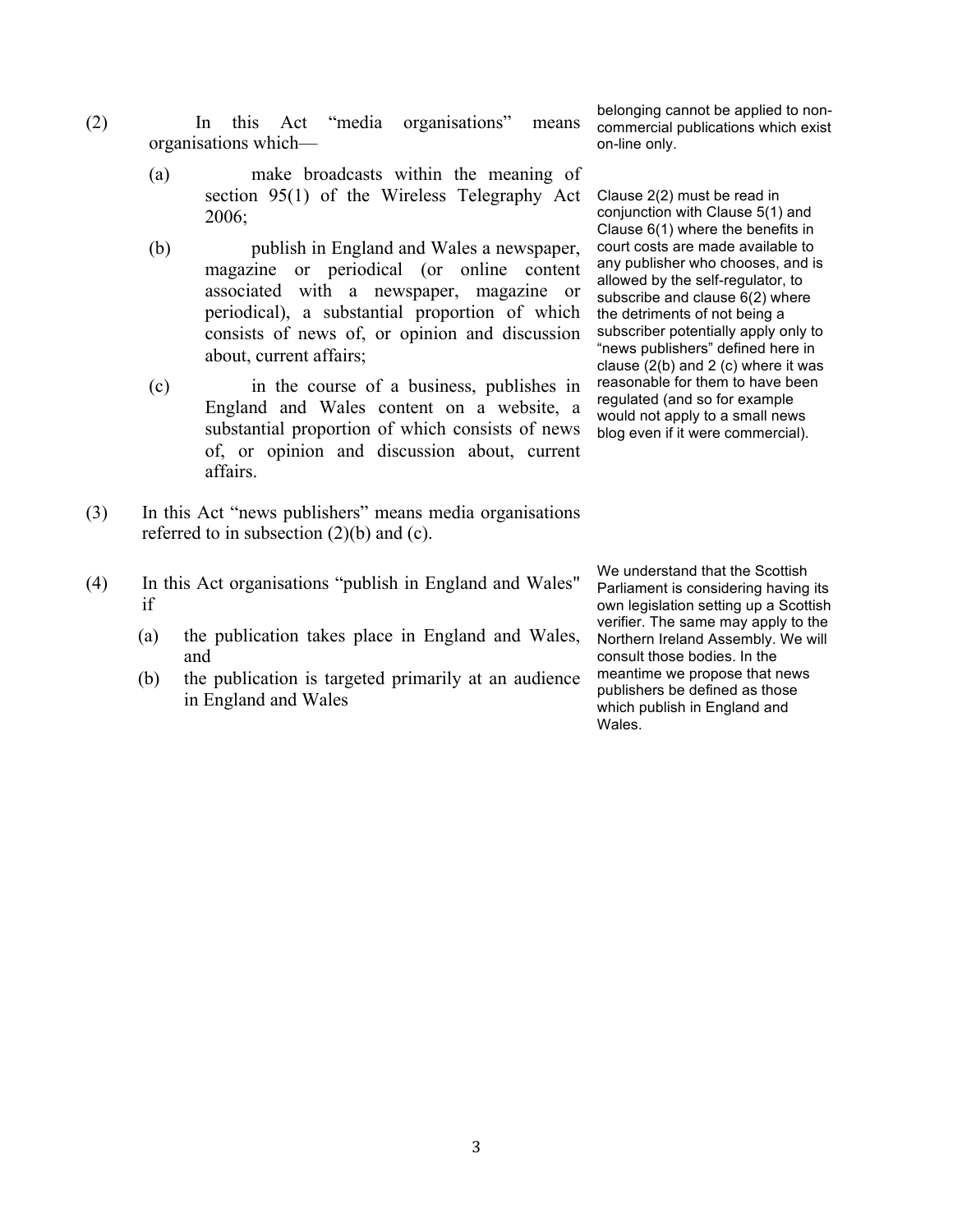- (2) In this Act "media organisations" means organisations which—
	- (a) make broadcasts within the meaning of section 95(1) of the Wireless Telegraphy Act 2006;
	- (b) publish in England and Wales a newspaper, magazine or periodical (or online content associated with a newspaper, magazine or periodical), a substantial proportion of which consists of news of, or opinion and discussion about, current affairs;
	- (c) in the course of a business, publishes in England and Wales content on a website, a substantial proportion of which consists of news of, or opinion and discussion about, current affairs.
- (3) In this Act "news publishers" means media organisations referred to in subsection  $(2)(b)$  and  $(c)$ .
- (4) In this Act organisations "publish in England and Wales" if
	- (a) the publication takes place in England and Wales, and
	- (b) the publication is targeted primarily at an audience in England and Wales

belonging cannot be applied to noncommercial publications which exist on-line only.

Clause 2(2) must be read in conjunction with Clause 5(1) and Clause 6(1) where the benefits in court costs are made available to any publisher who chooses, and is allowed by the self-regulator, to subscribe and clause 6(2) where the detriments of not being a subscriber potentially apply only to "news publishers" defined here in clause  $(2(b)$  and  $2(c)$  where it was reasonable for them to have been regulated (and so for example would not apply to a small news blog even if it were commercial).

We understand that the Scottish Parliament is considering having its own legislation setting up a Scottish verifier. The same may apply to the Northern Ireland Assembly. We will consult those bodies. In the meantime we propose that news publishers be defined as those which publish in England and Wales.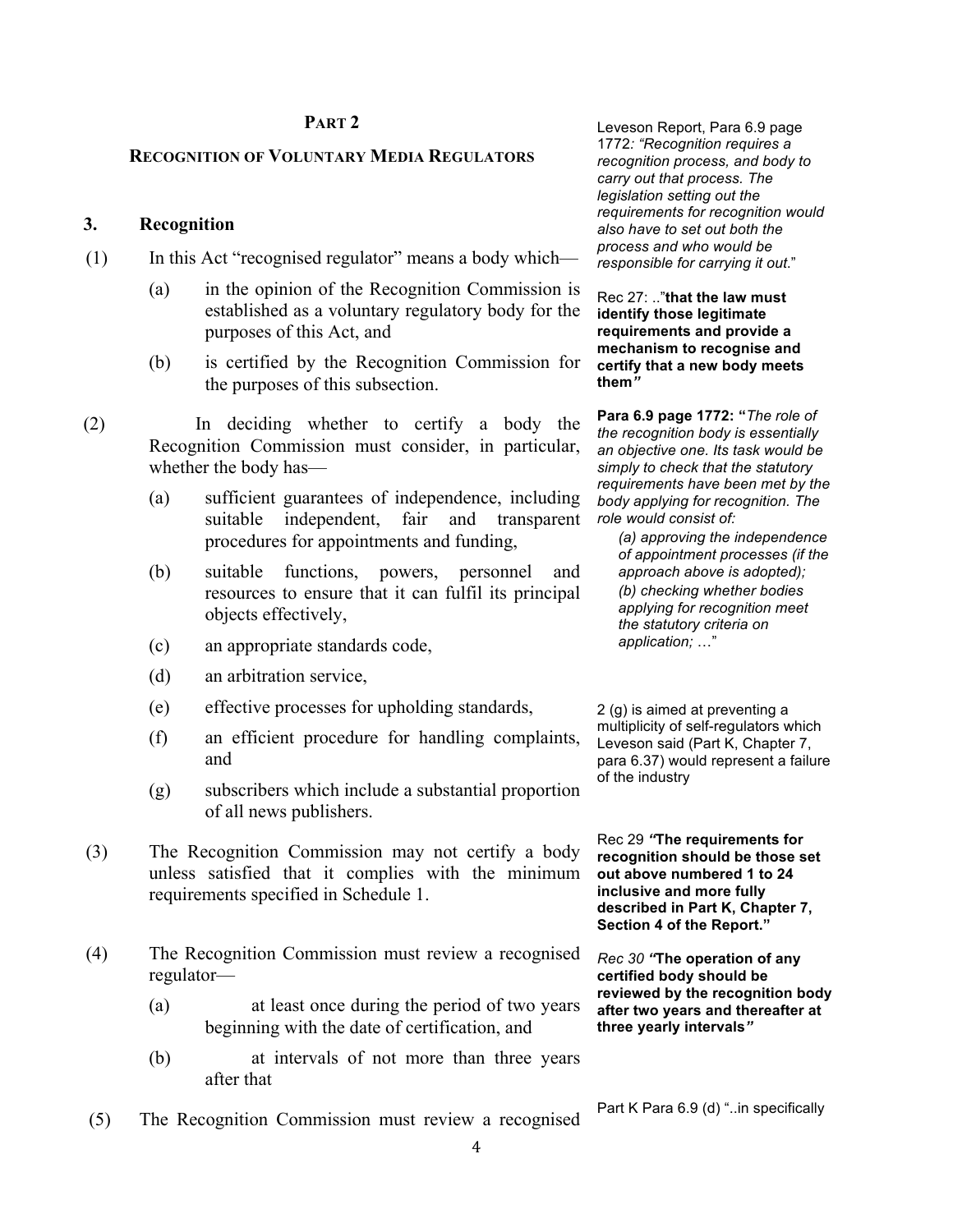## **PART 2**

#### **RECOGNITION OF VOLUNTARY MEDIA REGULATORS**

## **3. Recognition**

- (1) In this Act "recognised regulator" means a body which—
	- (a) in the opinion of the Recognition Commission is established as a voluntary regulatory body for the purposes of this Act, and
	- (b) is certified by the Recognition Commission for the purposes of this subsection.
- (2) In deciding whether to certify a body the Recognition Commission must consider, in particular, whether the body has—
	- (a) sufficient guarantees of independence, including suitable independent, fair and transparent procedures for appointments and funding,
	- (b) suitable functions, powers, personnel and resources to ensure that it can fulfil its principal objects effectively,
	- (c) an appropriate standards code,
	- (d) an arbitration service,
	- (e) effective processes for upholding standards,
	- (f) an efficient procedure for handling complaints, and
	- (g) subscribers which include a substantial proportion of all news publishers.
- (3) The Recognition Commission may not certify a body unless satisfied that it complies with the minimum requirements specified in Schedule 1.
- (4) The Recognition Commission must review a recognised regulator—
	- (a) at least once during the period of two years beginning with the date of certification, and
	- (b) at intervals of not more than three years after that
- (5) The Recognition Commission must review a recognised Part K Para 6.9 (d) "..in specifically

Leveson Report, Para 6.9 page 1772*: "Recognition requires a recognition process, and body to carry out that process. The legislation setting out the requirements for recognition would also have to set out both the process and who would be responsible for carrying it out*."

Rec 27: .."**that the law must identify those legitimate requirements and provide a mechanism to recognise and certify that a new body meets them***"*

**Para 6.9 page 1772: "***The role of the recognition body is essentially an objective one. Its task would be simply to check that the statutory requirements have been met by the body applying for recognition. The role would consist of:* 

*(a) approving the independence of appointment processes (if the approach above is adopted); (b) checking whether bodies applying for recognition meet the statutory criteria on*  application; ..."

2 (g) is aimed at preventing a multiplicity of self-regulators which Leveson said (Part K, Chapter 7, para 6.37) would represent a failure of the industry

Rec 29 *"***The requirements for recognition should be those set out above numbered 1 to 24 inclusive and more fully described in Part K, Chapter 7, Section 4 of the Report."**

*Rec 30 "***The operation of any certified body should be reviewed by the recognition body after two years and thereafter at three yearly intervals***"*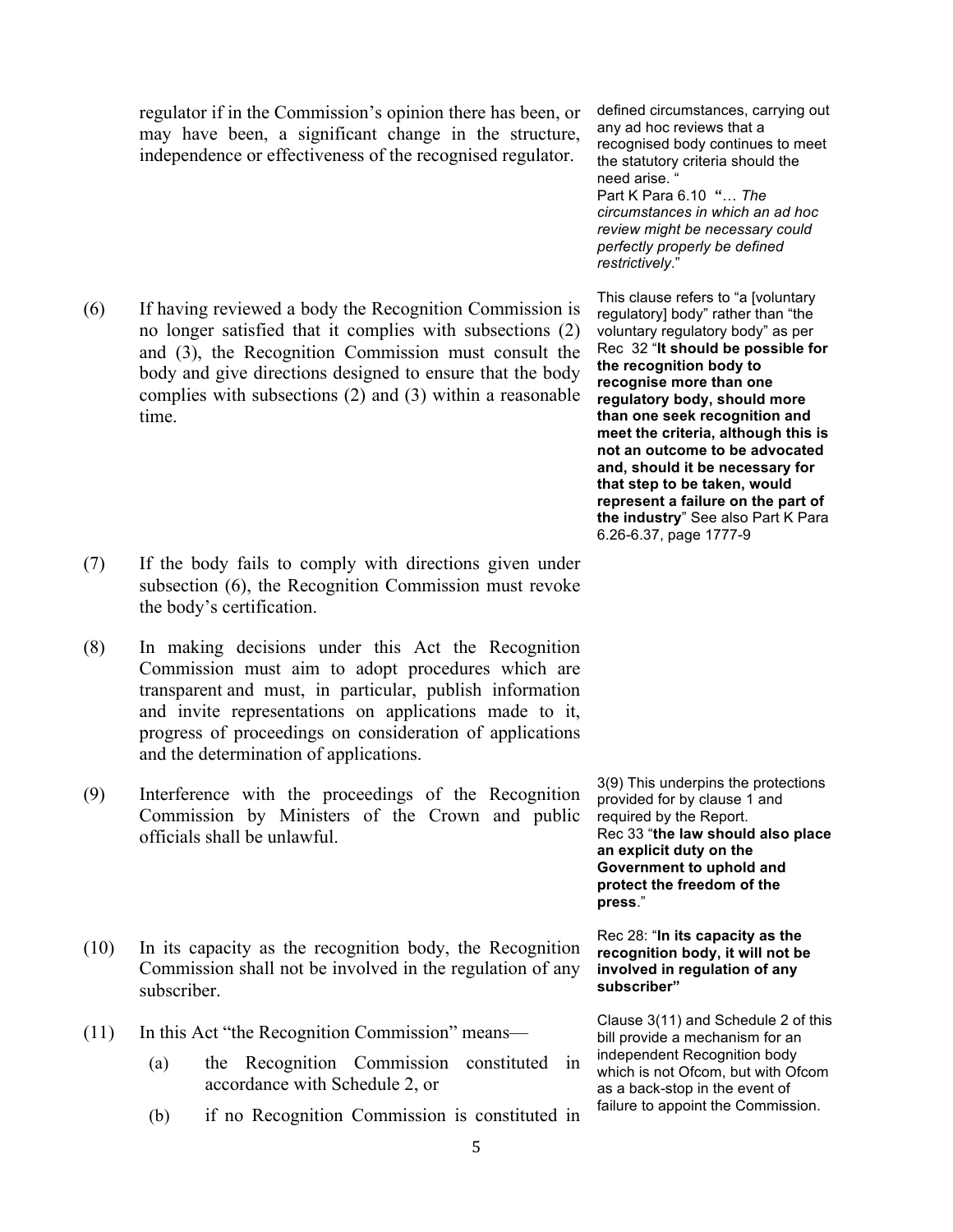regulator if in the Commission's opinion there has been, or may have been, a significant change in the structure, independence or effectiveness of the recognised regulator.

(6) If having reviewed a body the Recognition Commission is no longer satisfied that it complies with subsections (2) and (3), the Recognition Commission must consult the body and give directions designed to ensure that the body complies with subsections (2) and (3) within a reasonable time.

- (7) If the body fails to comply with directions given under subsection (6), the Recognition Commission must revoke the body's certification.
- (8) In making decisions under this Act the Recognition Commission must aim to adopt procedures which are transparent and must, in particular, publish information and invite representations on applications made to it, progress of proceedings on consideration of applications and the determination of applications.
- (9) Interference with the proceedings of the Recognition Commission by Ministers of the Crown and public officials shall be unlawful.
- (10) In its capacity as the recognition body, the Recognition Commission shall not be involved in the regulation of any subscriber.
- (11) In this Act "the Recognition Commission" means—
	- (a) the Recognition Commission constituted in accordance with Schedule 2, or
	- (b) if no Recognition Commission is constituted in

defined circumstances, carrying out any ad hoc reviews that a recognised body continues to meet the statutory criteria should the need arise. Part K Para 6.10 **"**! *The circumstances in which an ad hoc review might be necessary could perfectly properly be defined* 

*restrictively*."

This clause refers to "a [voluntary regulatory] body" rather than "the voluntary regulatory body" as per Rec 32 "**It should be possible for the recognition body to recognise more than one regulatory body, should more than one seek recognition and meet the criteria, although this is not an outcome to be advocated and, should it be necessary for that step to be taken, would represent a failure on the part of the industry**" See also Part K Para 6.26-6.37, page 1777-9

3(9) This underpins the protections provided for by clause 1 and required by the Report. Rec 33 "**the law should also place an explicit duty on the Government to uphold and protect the freedom of the press**."

#### Rec 28: "**In its capacity as the recognition body, it will not be involved in regulation of any subscriber"**

Clause 3(11) and Schedule 2 of this bill provide a mechanism for an independent Recognition body which is not Ofcom, but with Ofcom as a back-stop in the event of failure to appoint the Commission.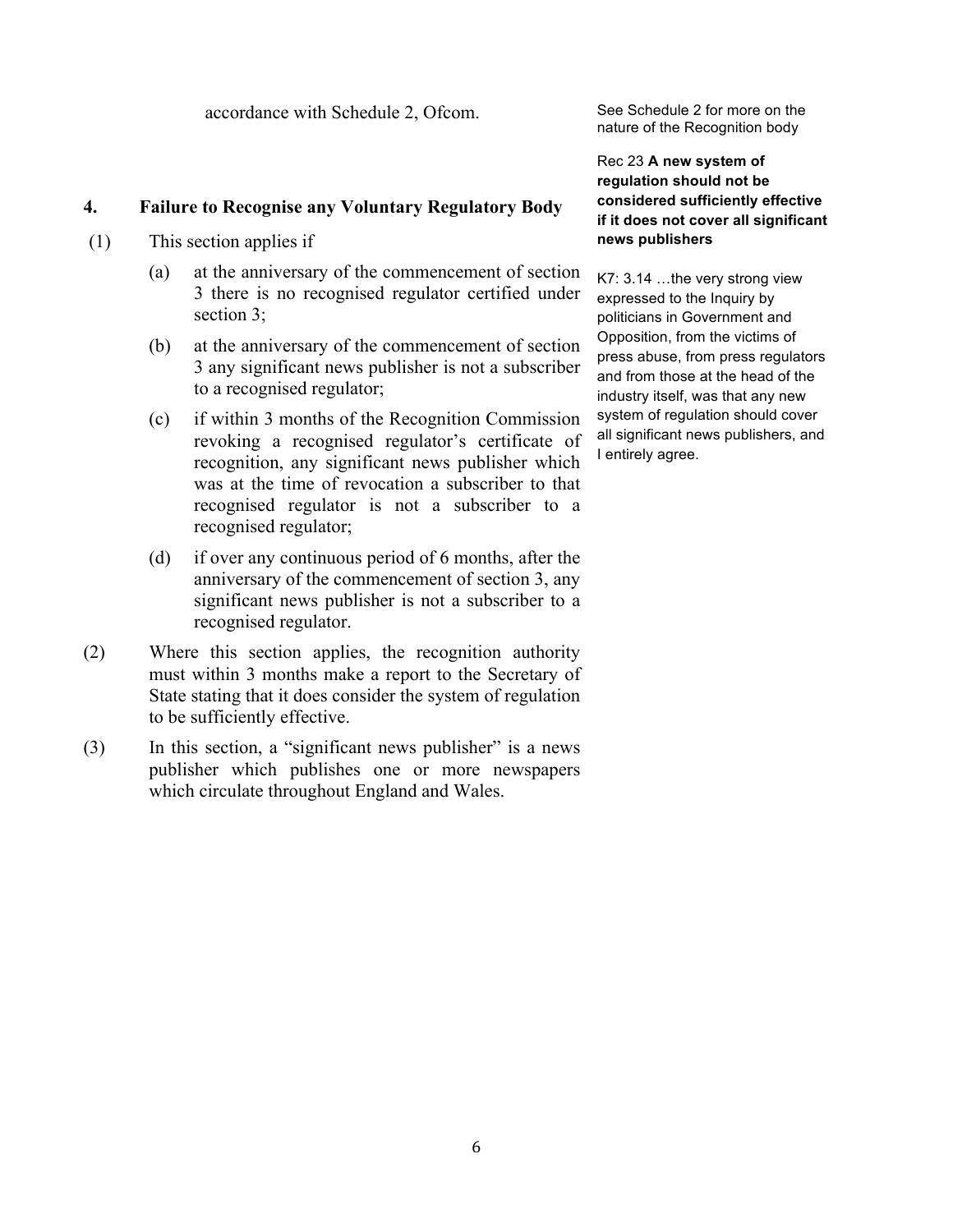accordance with Schedule 2, Ofcom. See Schedule 2 for more on the

# **4. Failure to Recognise any Voluntary Regulatory Body**

- (1) This section applies if
	- (a) at the anniversary of the commencement of section 3 there is no recognised regulator certified under section 3;
	- (b) at the anniversary of the commencement of section 3 any significant news publisher is not a subscriber to a recognised regulator;
	- (c) if within 3 months of the Recognition Commission revoking a recognised regulator's certificate of recognition, any significant news publisher which was at the time of revocation a subscriber to that recognised regulator is not a subscriber to a recognised regulator;
	- (d) if over any continuous period of 6 months, after the anniversary of the commencement of section 3, any significant news publisher is not a subscriber to a recognised regulator.
- (2) Where this section applies, the recognition authority must within 3 months make a report to the Secretary of State stating that it does consider the system of regulation to be sufficiently effective.
- (3) In this section, a "significant news publisher" is a news publisher which publishes one or more newspapers which circulate throughout England and Wales.

nature of the Recognition body

Rec 23 **A new system of regulation should not be considered sufficiently effective if it does not cover all significant news publishers**

 $K7: 3.14...$  the very strong view expressed to the Inquiry by politicians in Government and Opposition, from the victims of press abuse, from press regulators and from those at the head of the industry itself, was that any new system of regulation should cover all significant news publishers, and I entirely agree.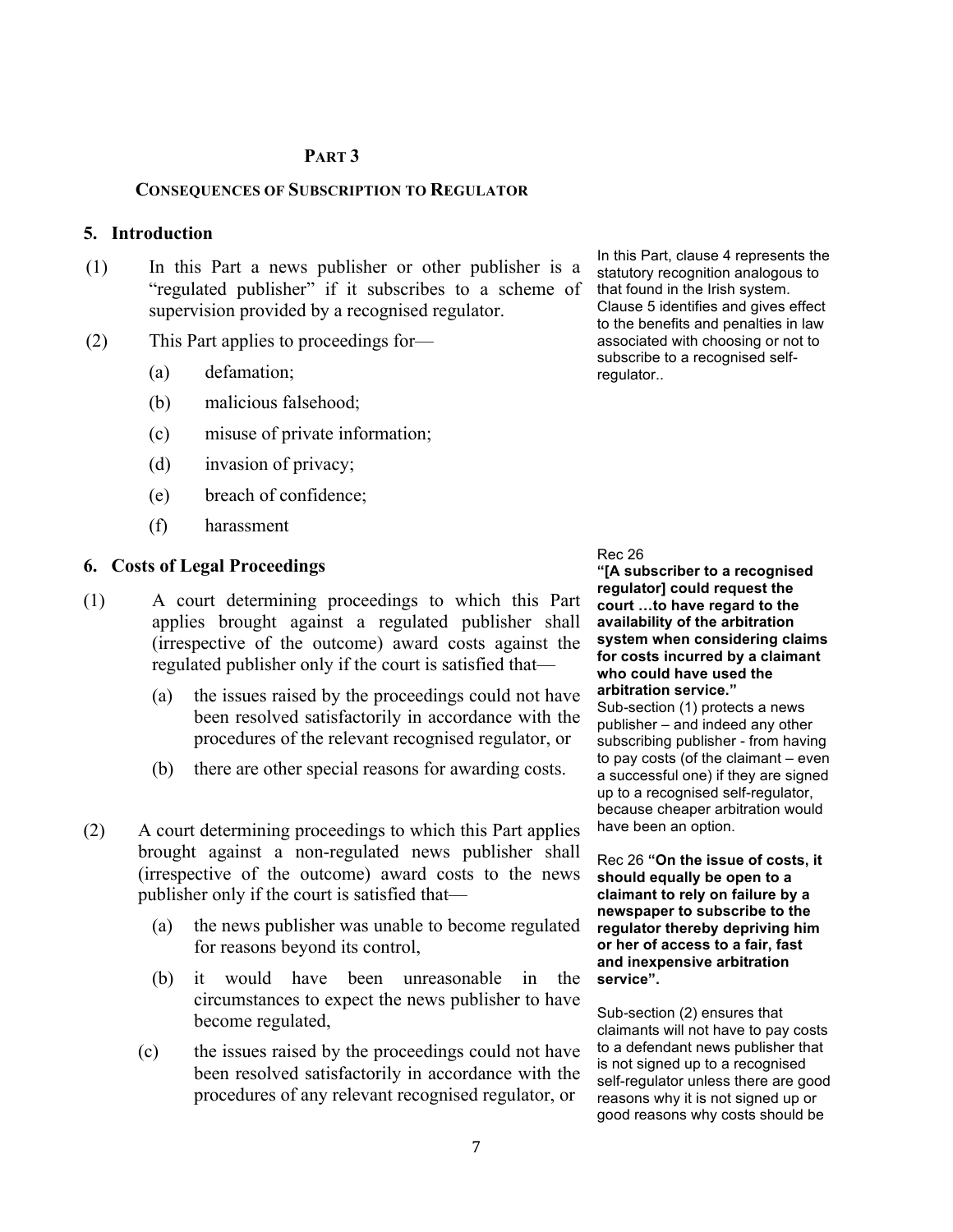#### **PART 3**

#### **CONSEQUENCES OF SUBSCRIPTION TO REGULATOR**

#### **5. Introduction**

- (1) In this Part a news publisher or other publisher is a "regulated publisher" if it subscribes to a scheme of supervision provided by a recognised regulator.
- (2) This Part applies to proceedings for—
	- (a) defamation;
	- (b) malicious falsehood;
	- (c) misuse of private information;
	- (d) invasion of privacy;
	- (e) breach of confidence;
	- (f) harassment

#### **6. Costs of Legal Proceedings**

- (1) A court determining proceedings to which this Part applies brought against a regulated publisher shall (irrespective of the outcome) award costs against the regulated publisher only if the court is satisfied that—
	- (a) the issues raised by the proceedings could not have been resolved satisfactorily in accordance with the procedures of the relevant recognised regulator, or
	- (b) there are other special reasons for awarding costs.
- (2) A court determining proceedings to which this Part applies brought against a non-regulated news publisher shall (irrespective of the outcome) award costs to the news publisher only if the court is satisfied that—
	- (a) the news publisher was unable to become regulated for reasons beyond its control,
	- (b) it would have been unreasonable in the circumstances to expect the news publisher to have become regulated,
	- (c) the issues raised by the proceedings could not have been resolved satisfactorily in accordance with the procedures of any relevant recognised regulator, or

In this Part, clause 4 represents the statutory recognition analogous to that found in the Irish system. Clause 5 identifies and gives effect to the benefits and penalties in law associated with choosing or not to subscribe to a recognised selfregulator..

#### Rec 26

**"[A subscriber to a recognised regulator] could request the court !to have regard to the availability of the arbitration system when considering claims for costs incurred by a claimant who could have used the arbitration service."**

Sub-section (1) protects a news publisher – and indeed any other subscribing publisher - from having to pay costs (of the claimant – even a successful one) if they are signed up to a recognised self-regulator, because cheaper arbitration would have been an option.

Rec 26 **"On the issue of costs, it should equally be open to a claimant to rely on failure by a newspaper to subscribe to the regulator thereby depriving him or her of access to a fair, fast and inexpensive arbitration service".** 

Sub-section (2) ensures that claimants will not have to pay costs to a defendant news publisher that is not signed up to a recognised self-regulator unless there are good reasons why it is not signed up or good reasons why costs should be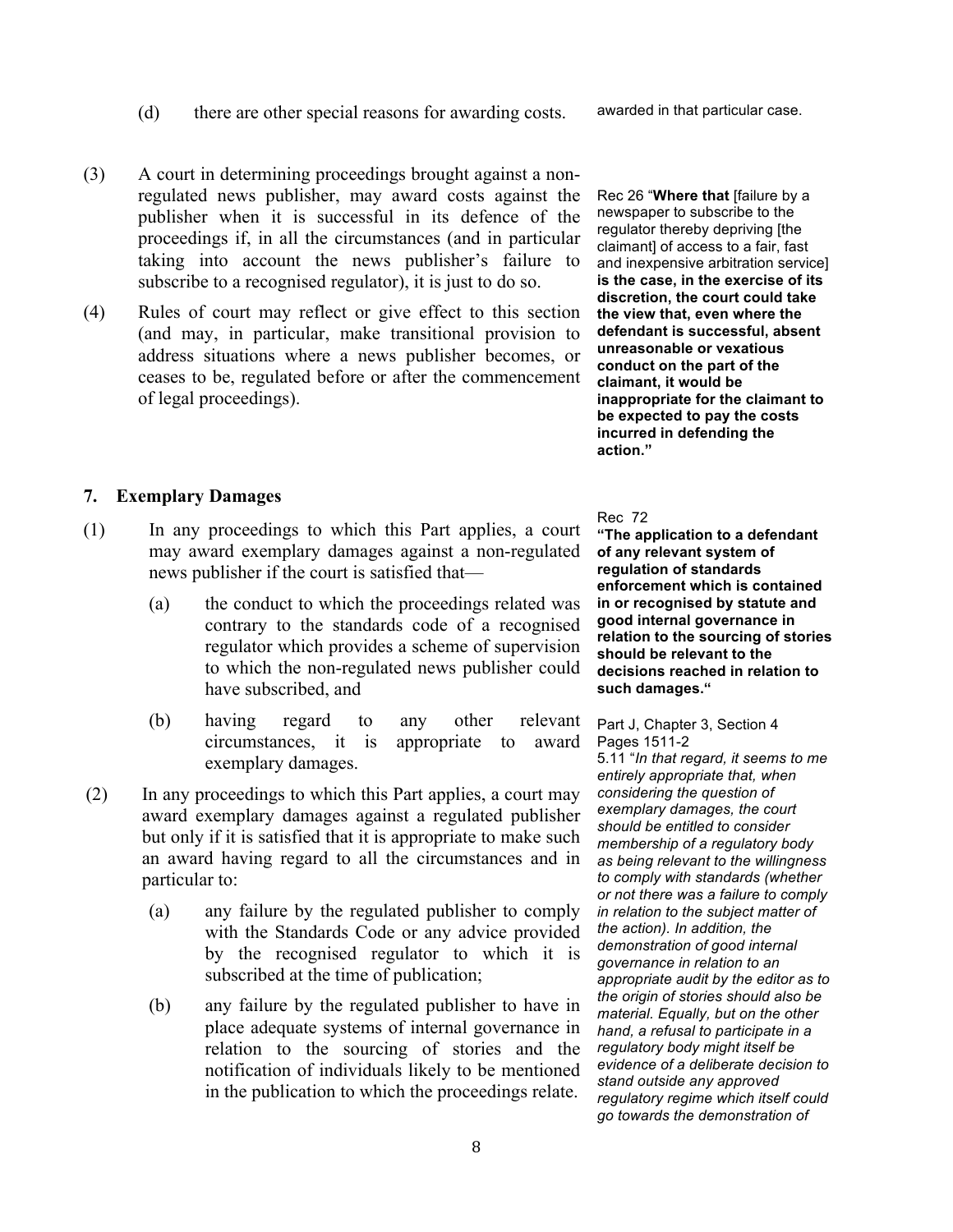(d) there are other special reasons for awarding costs.

awarded in that particular case.

- (3) A court in determining proceedings brought against a nonregulated news publisher, may award costs against the publisher when it is successful in its defence of the proceedings if, in all the circumstances (and in particular taking into account the news publisher's failure to subscribe to a recognised regulator), it is just to do so.
- (4) Rules of court may reflect or give effect to this section (and may, in particular, make transitional provision to address situations where a news publisher becomes, or ceases to be, regulated before or after the commencement of legal proceedings).

## **7. Exemplary Damages**

- (1) In any proceedings to which this Part applies, a court may award exemplary damages against a non-regulated news publisher if the court is satisfied that—
	- (a) the conduct to which the proceedings related was contrary to the standards code of a recognised regulator which provides a scheme of supervision to which the non-regulated news publisher could have subscribed, and
	- (b) having regard to any other relevant circumstances, it is appropriate to award exemplary damages.
- (2) In any proceedings to which this Part applies, a court may award exemplary damages against a regulated publisher but only if it is satisfied that it is appropriate to make such an award having regard to all the circumstances and in particular to:
	- (a) any failure by the regulated publisher to comply with the Standards Code or any advice provided by the recognised regulator to which it is subscribed at the time of publication;
	- (b) any failure by the regulated publisher to have in place adequate systems of internal governance in relation to the sourcing of stories and the notification of individuals likely to be mentioned in the publication to which the proceedings relate.

Rec 26 "**Where that** [failure by a newspaper to subscribe to the regulator thereby depriving [the claimant] of access to a fair, fast and inexpensive arbitration service] **is the case, in the exercise of its discretion, the court could take the view that, even where the defendant is successful, absent unreasonable or vexatious conduct on the part of the claimant, it would be inappropriate for the claimant to be expected to pay the costs incurred in defending the action."**

Rec 72

**"The application to a defendant of any relevant system of regulation of standards enforcement which is contained in or recognised by statute and good internal governance in relation to the sourcing of stories should be relevant to the decisions reached in relation to such damages."**

Part J, Chapter 3, Section 4 . Pages 1511-2

. 5.11 "*In that regard, it seems to me entirely appropriate that, when considering the question of exemplary damages, the court should be entitled to consider membership of a regulatory body as being relevant to the willingness to comply with standards (whether or not there was a failure to comply in relation to the subject matter of the action). In addition, the demonstration of good internal governance in relation to an appropriate audit by the editor as to the origin of stories should also be material. Equally, but on the other hand, a refusal to participate in a regulatory body might itself be evidence of a deliberate decision to stand outside any approved regulatory regime which itself could go towards the demonstration of*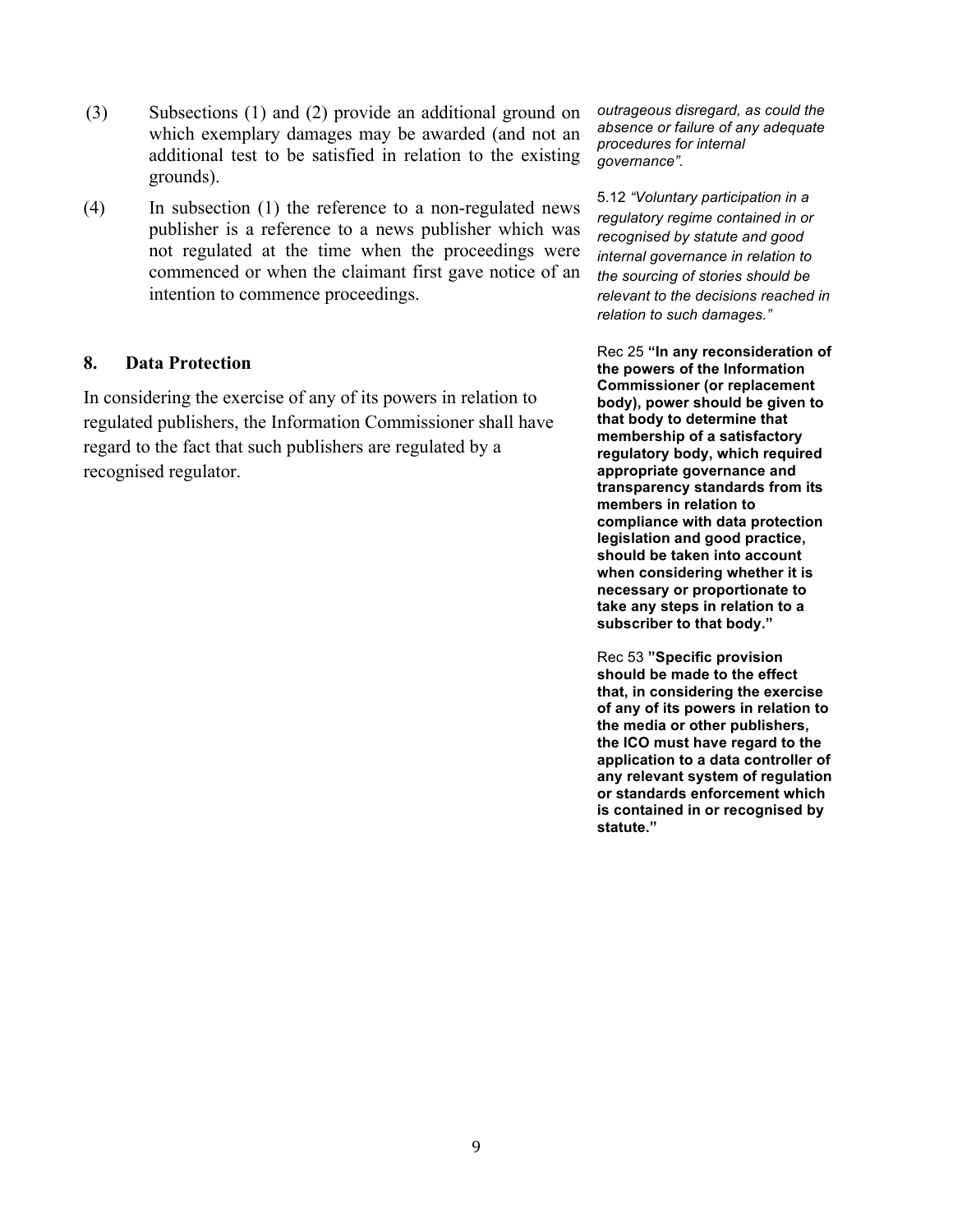- (3) Subsections (1) and (2) provide an additional ground on which exemplary damages may be awarded (and not an additional test to be satisfied in relation to the existing grounds).
- (4) In subsection (1) the reference to a non-regulated news publisher is a reference to a news publisher which was not regulated at the time when the proceedings were commenced or when the claimant first gave notice of an intention to commence proceedings.

# **8. Data Protection**

In considering the exercise of any of its powers in relation to regulated publishers, the Information Commissioner shall have regard to the fact that such publishers are regulated by a recognised regulator.

*outrageous disregard, as could the absence or failure of any adequate procedures for internal governance".* 

5.12 *"Voluntary participation in a regulatory regime contained in or recognised by statute and good internal governance in relation to the sourcing of stories should be relevant to the decisions reached in relation to such damages."*

Rec 25 **"In any reconsideration of the powers of the Information Commissioner (or replacement body), power should be given to that body to determine that membership of a satisfactory regulatory body, which required appropriate governance and transparency standards from its members in relation to compliance with data protection legislation and good practice, should be taken into account when considering whether it is necessary or proportionate to take any steps in relation to a subscriber to that body."**

Rec 53 **"Specific provision should be made to the effect that, in considering the exercise of any of its powers in relation to the media or other publishers, the ICO must have regard to the application to a data controller of any relevant system of regulation or standards enforcement which is contained in or recognised by statute."**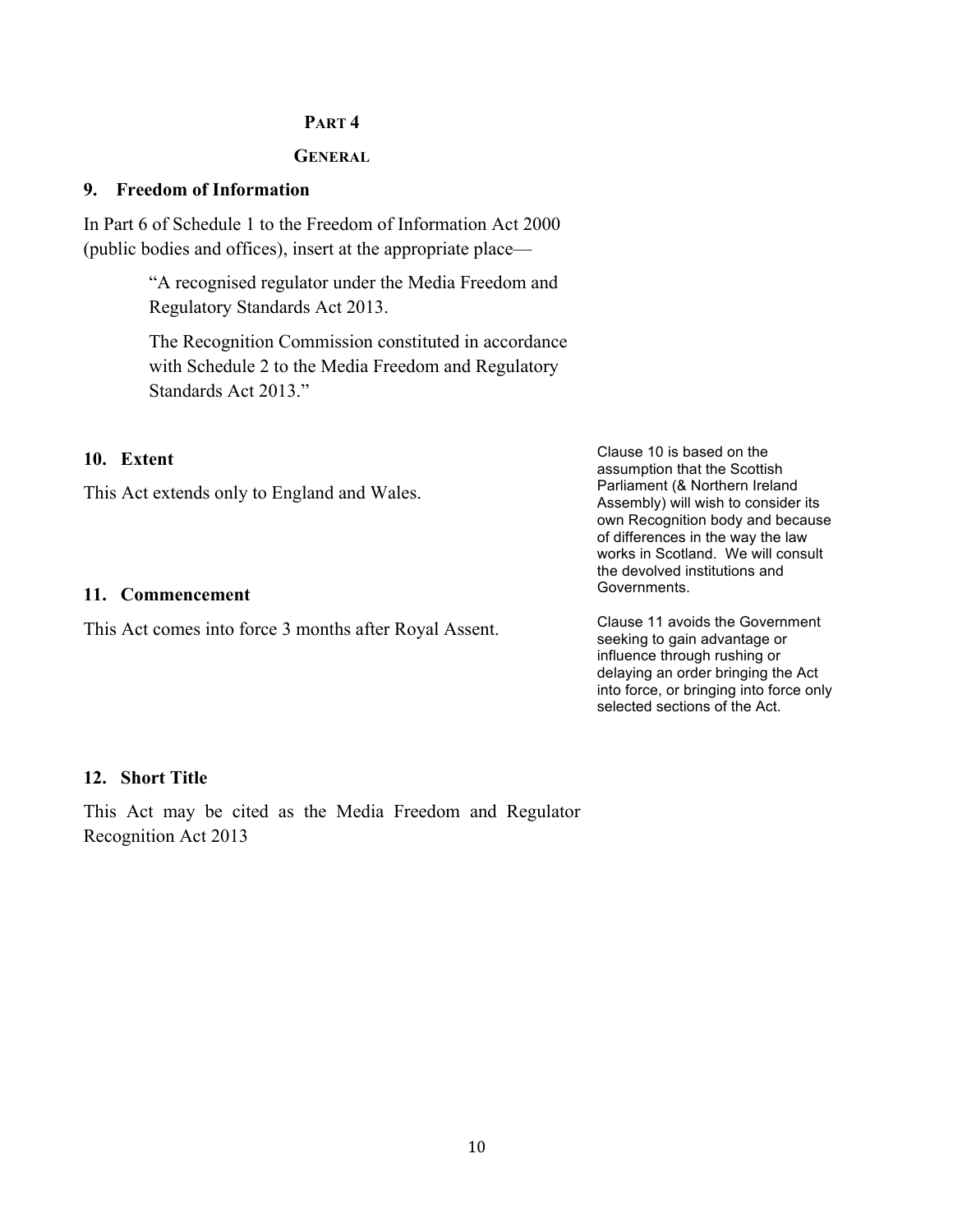# **PART 4**

#### **GENERAL**

# **9. Freedom of Information**

In Part 6 of Schedule 1 to the Freedom of Information Act 2000 (public bodies and offices), insert at the appropriate place—

> "A recognised regulator under the Media Freedom and Regulatory Standards Act 2013.

The Recognition Commission constituted in accordance with Schedule 2 to the Media Freedom and Regulatory Standards Act 2013."

# **10. Extent**

This Act extends only to England and Wales.

# **11. Commencement**

This Act comes into force 3 months after Royal Assent.

Clause 10 is based on the assumption that the Scottish Parliament (& Northern Ireland Assembly) will wish to consider its own Recognition body and because of differences in the way the law works in Scotland. We will consult the devolved institutions and Governments.

Clause 11 avoids the Government seeking to gain advantage or influence through rushing or delaying an order bringing the Act into force, or bringing into force only selected sections of the Act.

#### **12. Short Title**

This Act may be cited as the Media Freedom and Regulator Recognition Act 2013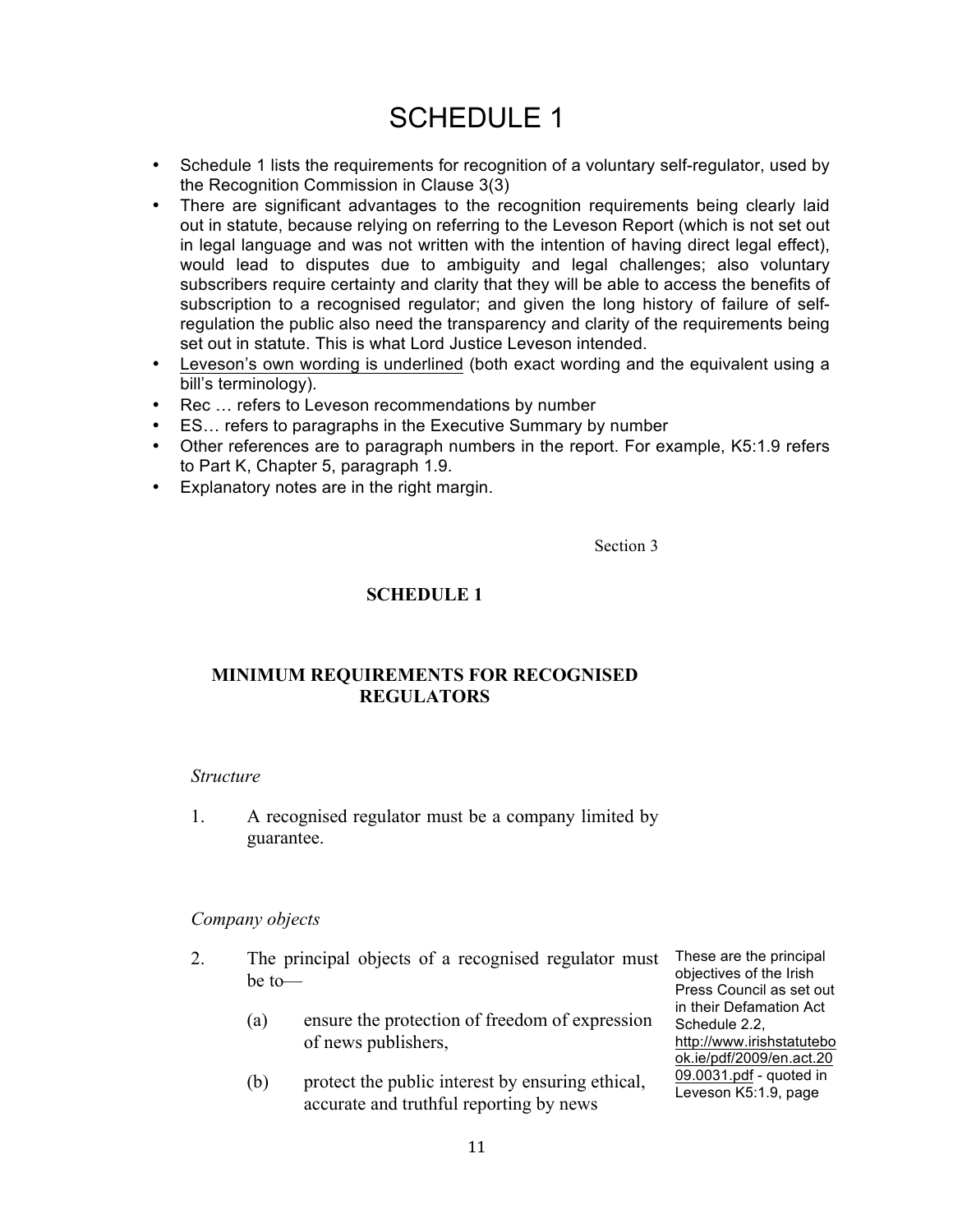# SCHEDULE 1

- Schedule 1 lists the requirements for recognition of a voluntary self-regulator, used by the Recognition Commission in Clause 3(3)
- There are significant advantages to the recognition requirements being clearly laid out in statute, because relying on referring to the Leveson Report (which is not set out in legal language and was not written with the intention of having direct legal effect), would lead to disputes due to ambiguity and legal challenges; also voluntary subscribers require certainty and clarity that they will be able to access the benefits of subscription to a recognised regulator; and given the long history of failure of selfregulation the public also need the transparency and clarity of the requirements being set out in statute. This is what Lord Justice Leveson intended.
- Leveson's own wording is underlined (both exact wording and the equivalent using a bill's terminology).
- Rec ... refers to Leveson recommendations by number
- ES... refers to paragraphs in the Executive Summary by number
- Other references are to paragraph numbers in the report. For example, K5:1.9 refers to Part K, Chapter 5, paragraph 1.9.
- Explanatory notes are in the right margin.

Section 3

# **SCHEDULE 1**

# **MINIMUM REQUIREMENTS FOR RECOGNISED REGULATORS**

#### *Structure*

1. A recognised regulator must be a company limited by guarantee.

# *Company objects*

- 2. The principal objects of a recognised regulator must be to—
	- (a) ensure the protection of freedom of expression of news publishers,
	- (b) protect the public interest by ensuring ethical, accurate and truthful reporting by news

These are the principal objectives of the Irish Press Council as set out in their Defamation Act Schedule 2.2, http://www.irishstatutebo ok.ie/pdf/2009/en.act.20 09.0031.pdf - quoted in Leveson K5:1.9, page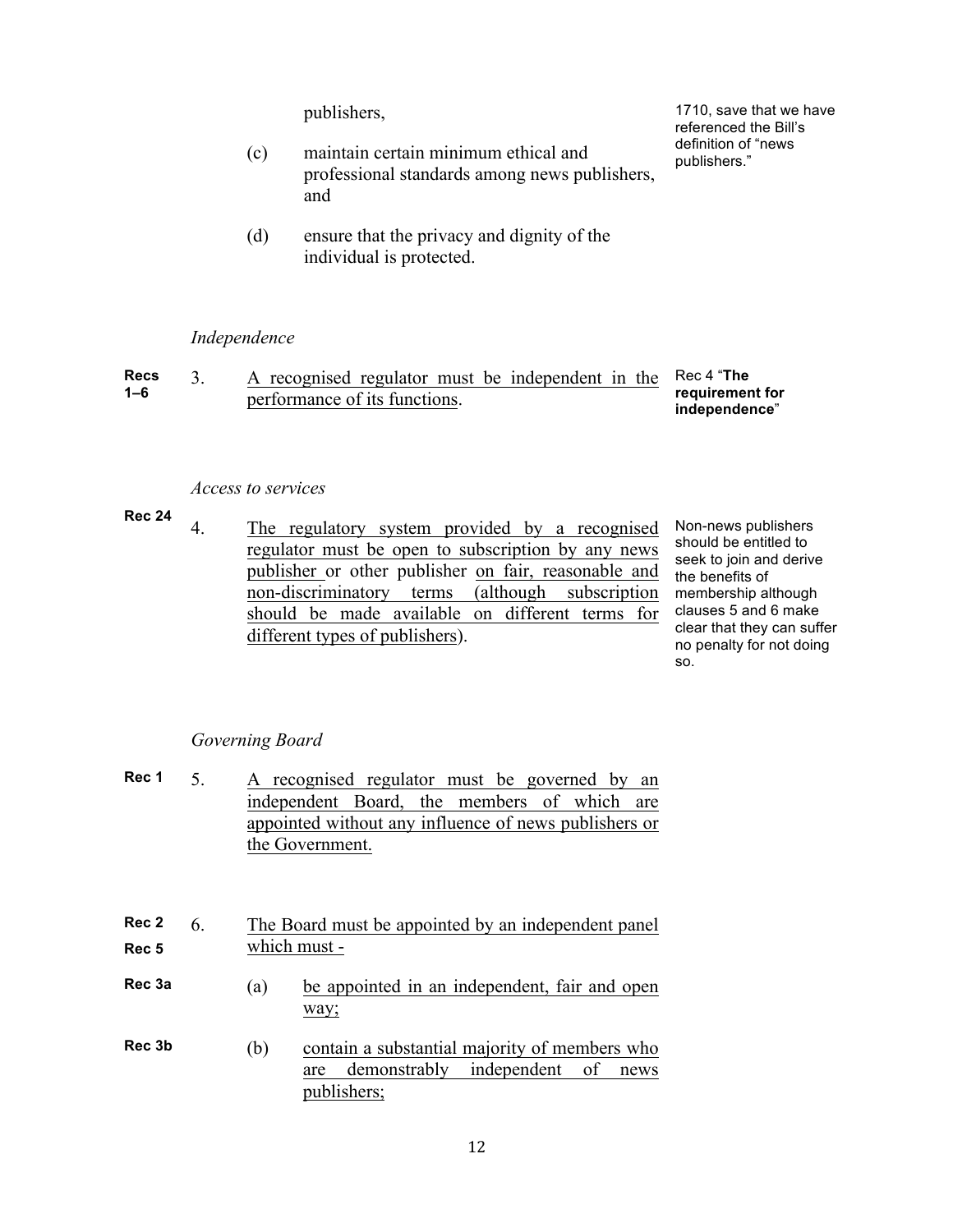- publishers." (c) maintain certain minimum ethical and professional standards among news publishers, and
- (d) ensure that the privacy and dignity of the individual is protected.

#### *Independence*

| <b>Recs</b> | A recognised regulator must be independent in the Rec 4 "The |                                  |
|-------------|--------------------------------------------------------------|----------------------------------|
| $1 - 6$     | performance of its functions.                                | requirement for<br>independence" |

#### *Access to services*

- **Rec 24**
	- 4. The regulatory system provided by a recognised regulator must be open to subscription by any news publisher or other publisher on fair, reasonable and non-discriminatory terms (although subscription should be made available on different terms for different types of publishers). the benefits of

Non-news publishers should be entitled to seek to join and derive membership although clauses 5 and 6 make clear that they can suffer no penalty for not doing so.

#### *Governing Board*

| Rec 1 | A recognised regulator must be governed by an         |
|-------|-------------------------------------------------------|
|       | independent Board, the members of which are           |
|       | appointed without any influence of news publishers or |
|       | the Government.                                       |

| Rec 2 | The Board must be appointed by an independent panel |
|-------|-----------------------------------------------------|
| Rec 5 | which must -                                        |

- **Rec 3a** (a) be appointed in an independent, fair and open way;
- **Rec 3b** (b) contain a substantial majority of members who are demonstrably independent of news publishers;

publishers, the matter of the 1710, save that we have referenced the Bill's definition of "news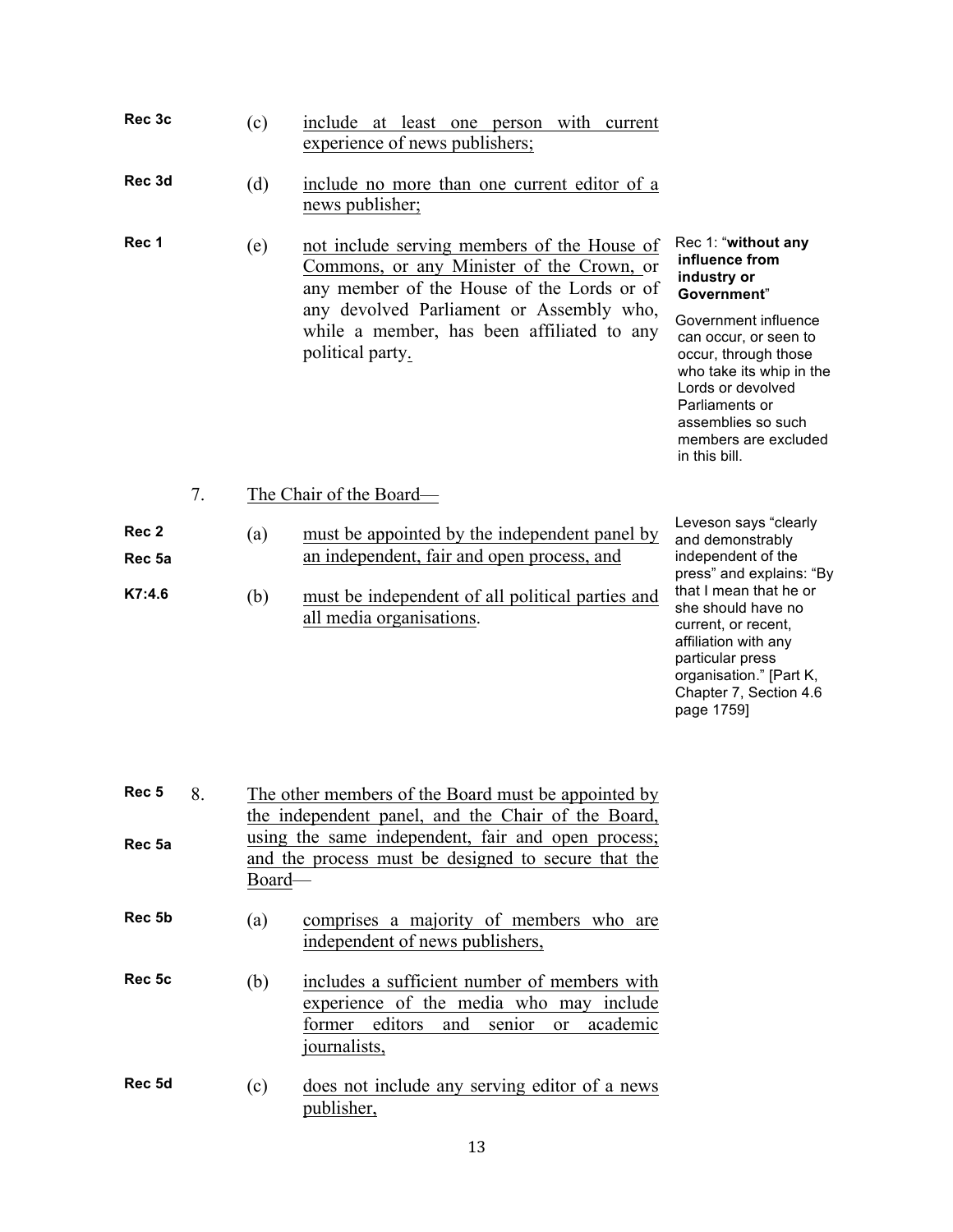| Rec 3c                               | (c)        | include at least one person with current<br>experience of news publishers;                                                                                                                                                                           |                                                                                                                                                                                                                                                                                   |
|--------------------------------------|------------|------------------------------------------------------------------------------------------------------------------------------------------------------------------------------------------------------------------------------------------------------|-----------------------------------------------------------------------------------------------------------------------------------------------------------------------------------------------------------------------------------------------------------------------------------|
| Rec 3d                               | (d)        | include no more than one current editor of a<br>news publisher;                                                                                                                                                                                      |                                                                                                                                                                                                                                                                                   |
| Rec 1                                | (e)        | not include serving members of the House of<br>Commons, or any Minister of the Crown, or<br>any member of the House of the Lords or of<br>any devolved Parliament or Assembly who,<br>while a member, has been affiliated to any<br>political party. | Rec 1: "without any<br>influence from<br>industry or<br>Government"<br>Government influence<br>can occur, or seen to<br>occur, through those<br>who take its whip in the<br>Lords or devolved<br>Parliaments or<br>assemblies so such<br>members are excluded<br>in this bill.    |
| 7.                                   |            | The Chair of the Board—                                                                                                                                                                                                                              |                                                                                                                                                                                                                                                                                   |
| Rec 2<br>Rec <sub>5a</sub><br>K7:4.6 | (a)<br>(b) | must be appointed by the independent panel by<br>an independent, fair and open process, and<br>must be independent of all political parties and<br>all media organisations.                                                                          | Leveson says "clearly<br>and demonstrably<br>independent of the<br>press" and explains: "By<br>that I mean that he or<br>she should have no<br>current, or recent,<br>affiliation with any<br>particular press<br>organisation." [Part K,<br>Chapter 7, Section 4.6<br>page 1759] |

| Rec <sub>5</sub><br>Rec 5a | 8. | The other members of the Board must be appointed by<br>the independent panel, and the Chair of the Board,<br>using the same independent, fair and open process;<br>and the process must be designed to secure that the<br>Board— |                                                                                                                                                                         |  |
|----------------------------|----|----------------------------------------------------------------------------------------------------------------------------------------------------------------------------------------------------------------------------------|-------------------------------------------------------------------------------------------------------------------------------------------------------------------------|--|
|                            |    |                                                                                                                                                                                                                                  |                                                                                                                                                                         |  |
| Rec 5b                     |    | (a)                                                                                                                                                                                                                              | comprises a majority of members who are<br>independent of news publishers,                                                                                              |  |
| Rec 5c                     |    | (b)                                                                                                                                                                                                                              | includes a sufficient number of members with<br>experience of the media who may include<br>editors and<br>academic<br>senior<br>former<br><sub>or</sub><br>journalists, |  |
| Rec 5d                     |    | (c)                                                                                                                                                                                                                              | does not include any serving editor of a news<br>publisher,                                                                                                             |  |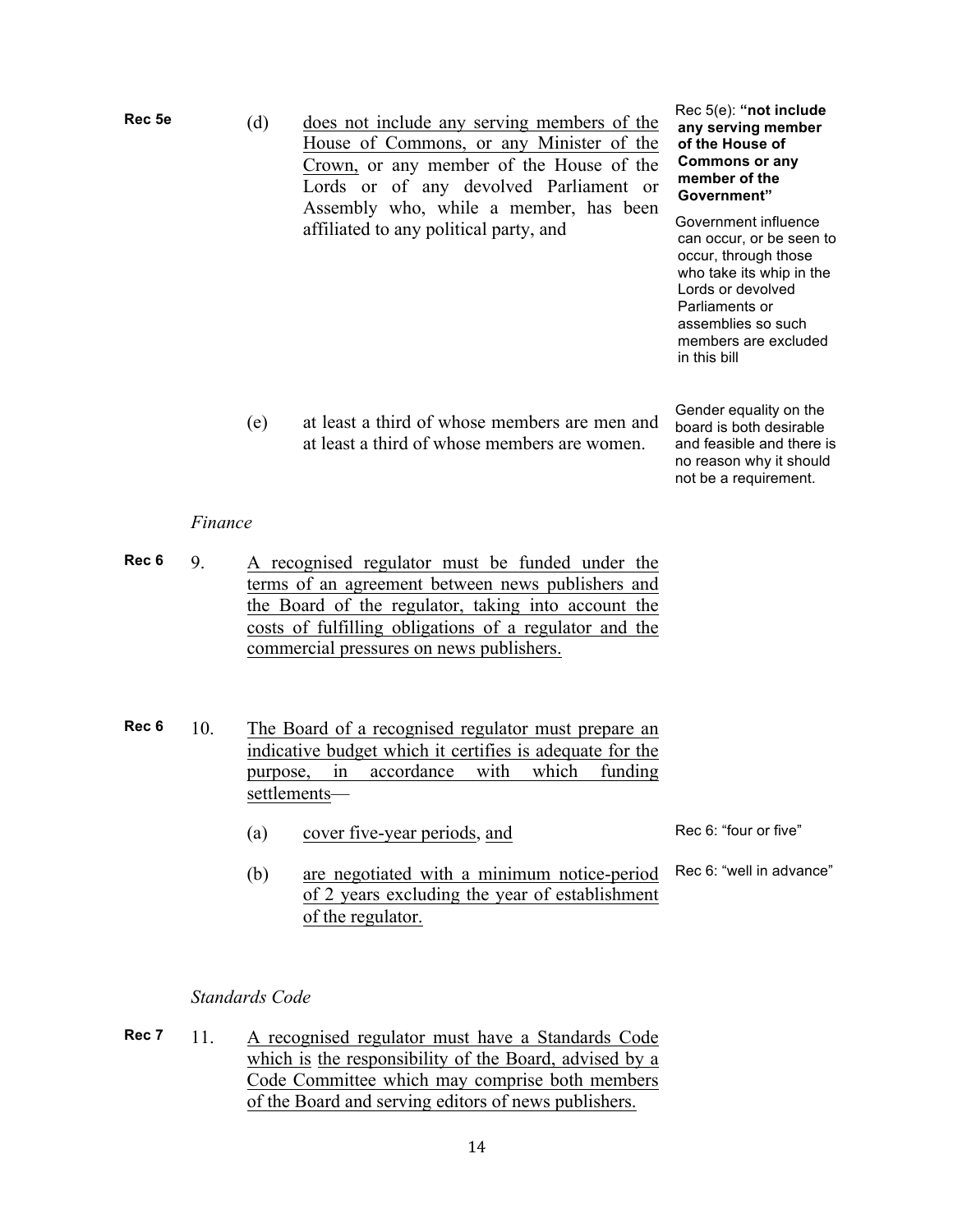- **Rec 5e** (d) does not include any serving members of the House of Commons, or any Minister of the Crown, or any member of the House of the Lords or of any devolved Parliament or Assembly who, while a member, has been affiliated to any political party, and
- Rec 5(e): **"not include any serving member of the House of Commons or any member of the Government"**

Government influence can occur, or be seen to occur, through those who take its whip in the Lords or devolved Parliaments or assemblies so such members are excluded in this bill

(e) at least a third of whose members are men and at least a third of whose members are women.

Gender equality on the board is both desirable and feasible and there is no reason why it should not be a requirement.

#### *Finance*

- **Rec 6** 9. A recognised regulator must be funded under the terms of an agreement between news publishers and the Board of the regulator, taking into account the costs of fulfilling obligations of a regulator and the commercial pressures on news publishers.
- **Rec 6** 10. The Board of a recognised regulator must prepare an indicative budget which it certifies is adequate for the purpose, in accordance with which funding settlements—
	- (a) cover five-year periods, and Rec 6: "four or five"
	- (b) are negotiated with a minimum notice-period Rec 6: "well in advance" of 2 years excluding the year of establishment of the regulator.

# *Standards Code*

**Rec 7** 11. A recognised regulator must have a Standards Code which is the responsibility of the Board, advised by a Code Committee which may comprise both members of the Board and serving editors of news publishers.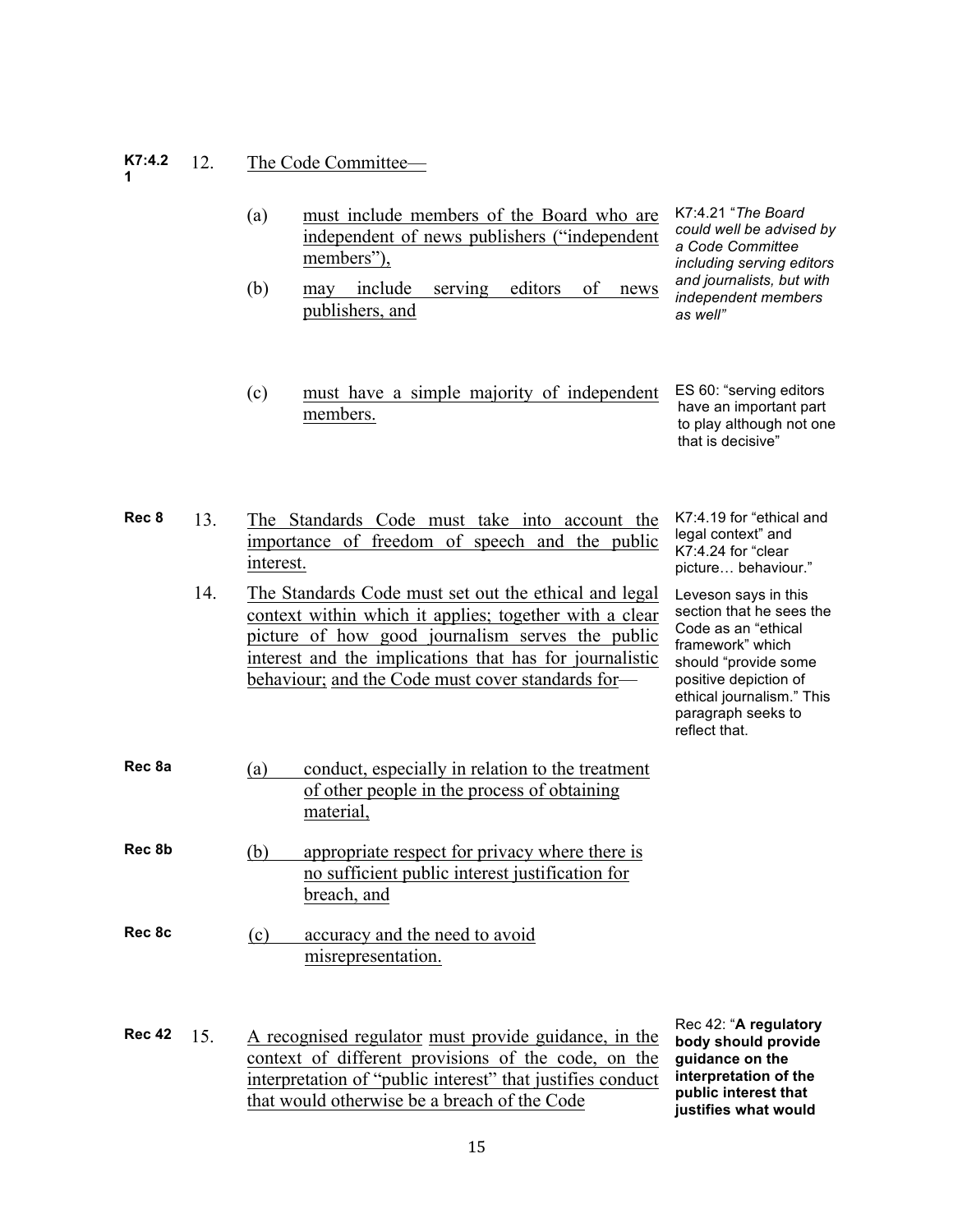#### **K7:4.2 1** 12. The Code Committee—

- (a) must include members of the Board who are independent of news publishers ("independent members").
- (b) may include serving editors of news publishers, and
- (c) must have a simple majority of independent members. ES 60: "serving editors have an important part to play although not one

K7:4.21 "*The Board could well be advised by a Code Committee including serving editors and journalists, but with independent members as well"*

that is decisive"

- **Rec 8** 13. The Standards Code must take into account the importance of freedom of speech and the public interest. 14. The Standards Code must set out the ethical and legal context within which it applies; together with a clear picture of how good journalism serves the public interest and the implications that has for journalistic behaviour; and the Code must cover standards for— K7:4.19 for "ethical and legal context" and K7:4.24 for "clear picture... behaviour." Leveson says in this section that he sees the Code as an "ethical framework" which should "provide some positive depiction of ethical journalism." This paragraph seeks to reflect that. **Rec 8a** (a) conduct, especially in relation to the treatment of other people in the process of obtaining material,
- **Rec 8b** (b) appropriate respect for privacy where there is no sufficient public interest justification for breach, and
- **Rec 8c** (c) accuracy and the need to avoid misrepresentation.
- **Rec 42** 15. A recognised regulator must provide guidance, in the context of different provisions of the code, on the interpretation of "public interest" that justifies conduct that would otherwise be a breach of the Code

Rec 42: "**A regulatory body should provide guidance on the interpretation of the public interest that justifies what would**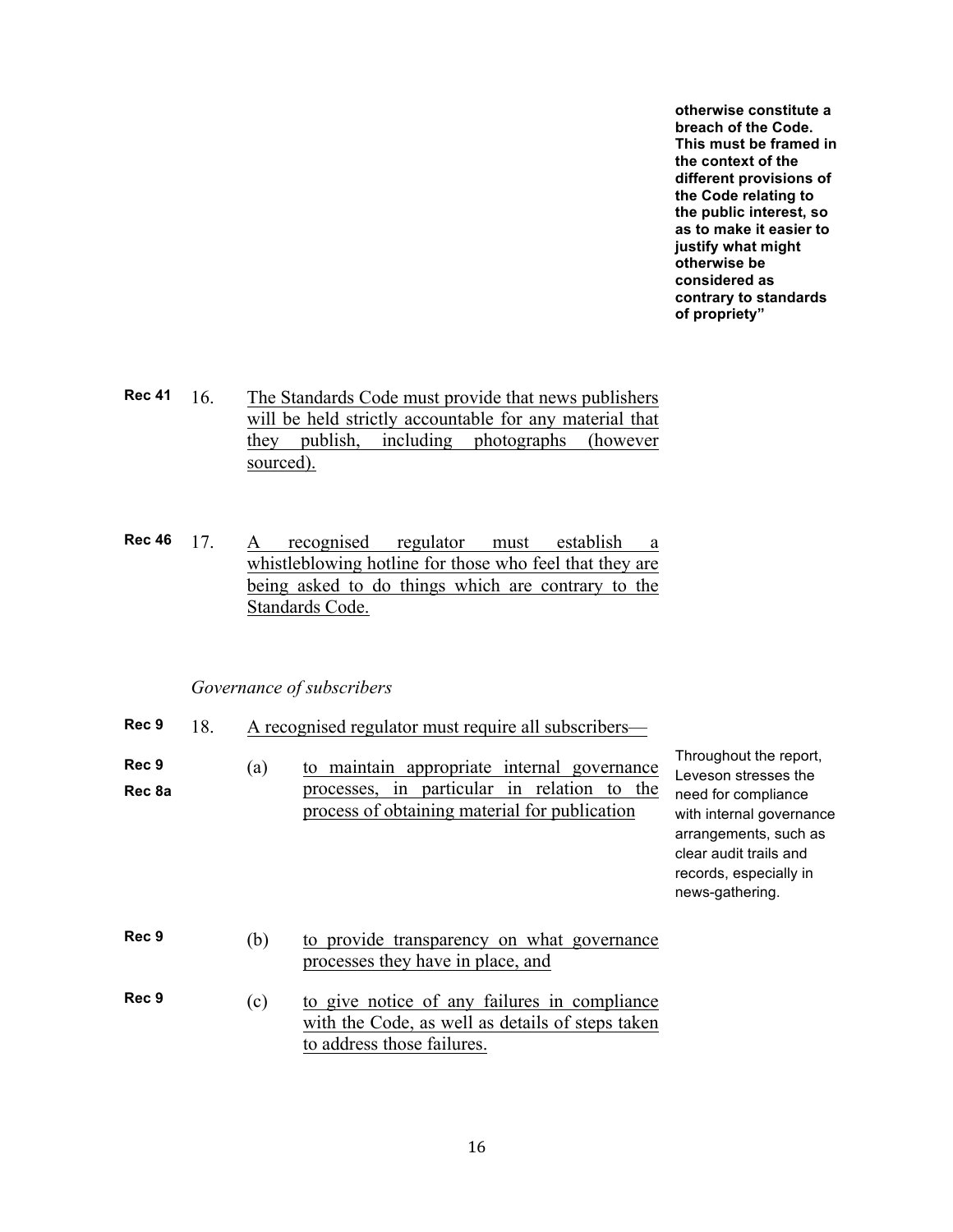**otherwise constitute a breach of the Code. This must be framed in the context of the different provisions of the Code relating to the public interest, so as to make it easier to justify what might otherwise be considered as contrary to standards of propriety"**

- **Rec 41** 16. The Standards Code must provide that news publishers will be held strictly accountable for any material that they publish, including photographs (however sourced).
- **Rec 46** 17. A recognised regulator must establish a whistleblowing hotline for those who feel that they are being asked to do things which are contrary to the Standards Code.

#### *Governance of subscribers*

- **Rec 9** 18. A recognised regulator must require all subscribers—
- **Rec 9 Rec 8a** (a) to maintain appropriate internal governance processes, in particular in relation to the process of obtaining material for publication

Throughout the report, Leveson stresses the need for compliance with internal governance arrangements, such as clear audit trails and records, especially in news-gathering.

- **Rec 9** (b) to provide transparency on what governance processes they have in place, and
- **Rec 9** (c) to give notice of any failures in compliance with the Code, as well as details of steps taken to address those failures.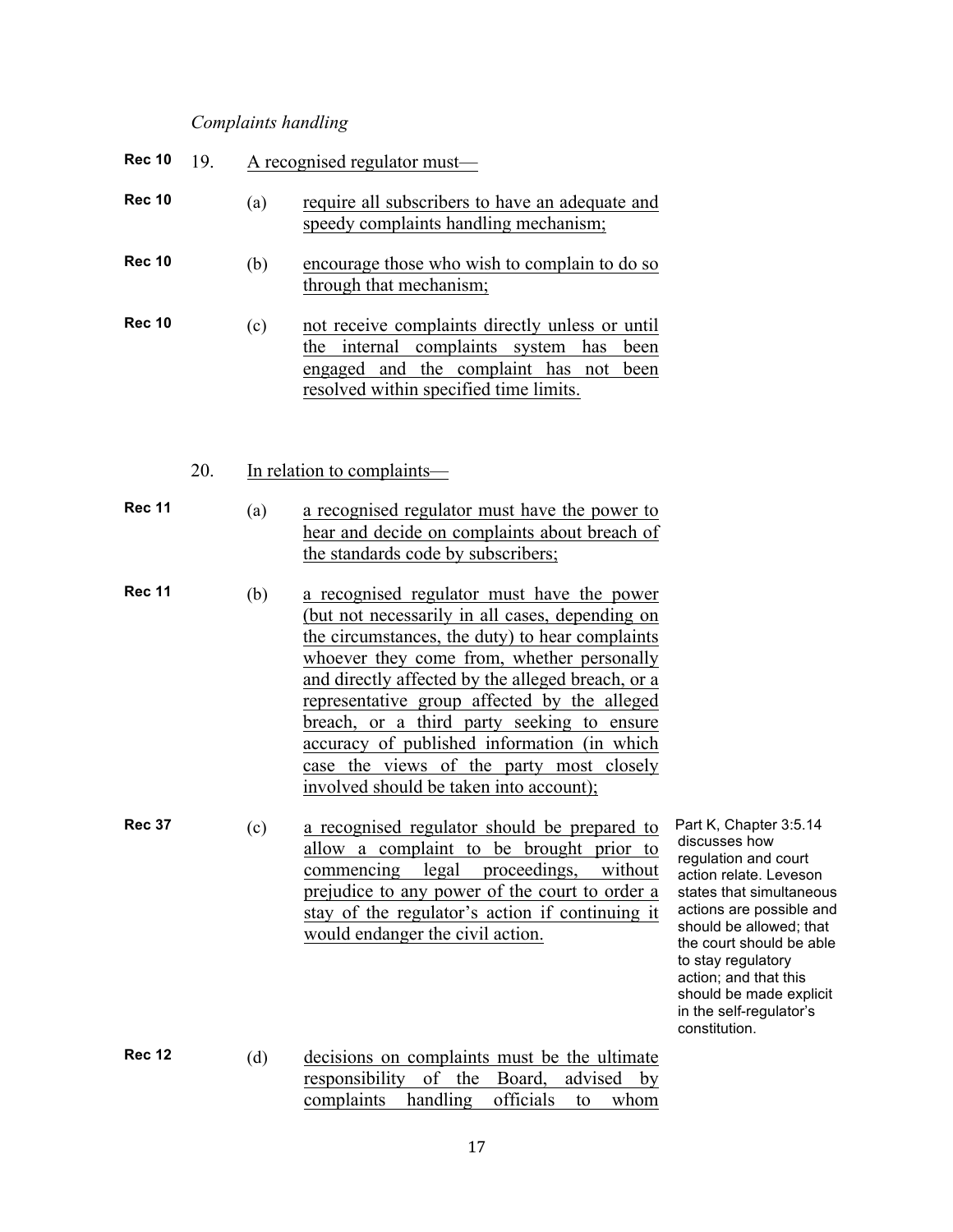# *Complaints handling*

| <b>Rec 10</b> | 19. |     | A recognised regulator must—                                                                                                                                                                                                                                                                                                                                                                                                                                                            |                                                                                                                                                                                                                                                                                                                                |
|---------------|-----|-----|-----------------------------------------------------------------------------------------------------------------------------------------------------------------------------------------------------------------------------------------------------------------------------------------------------------------------------------------------------------------------------------------------------------------------------------------------------------------------------------------|--------------------------------------------------------------------------------------------------------------------------------------------------------------------------------------------------------------------------------------------------------------------------------------------------------------------------------|
| Rec 10        |     | (a) | require all subscribers to have an adequate and<br>speedy complaints handling mechanism;                                                                                                                                                                                                                                                                                                                                                                                                |                                                                                                                                                                                                                                                                                                                                |
| <b>Rec 10</b> |     | (b) | encourage those who wish to complain to do so<br>through that mechanism;                                                                                                                                                                                                                                                                                                                                                                                                                |                                                                                                                                                                                                                                                                                                                                |
| <b>Rec 10</b> |     | (c) | not receive complaints directly unless or until<br>the internal complaints system has been<br>engaged and the complaint has not been<br>resolved within specified time limits.                                                                                                                                                                                                                                                                                                          |                                                                                                                                                                                                                                                                                                                                |
|               | 20. |     | In relation to complaints—                                                                                                                                                                                                                                                                                                                                                                                                                                                              |                                                                                                                                                                                                                                                                                                                                |
| Rec 11        |     | (a) | a recognised regulator must have the power to<br>hear and decide on complaints about breach of<br>the standards code by subscribers;                                                                                                                                                                                                                                                                                                                                                    |                                                                                                                                                                                                                                                                                                                                |
| Rec 11        |     | (b) | a recognised regulator must have the power<br>(but not necessarily in all cases, depending on<br>the circumstances, the duty) to hear complaints<br>whoever they come from, whether personally<br>and directly affected by the alleged breach, or a<br>representative group affected by the alleged<br>breach, or a third party seeking to ensure<br>accuracy of published information (in which<br>case the views of the party most closely<br>involved should be taken into account); |                                                                                                                                                                                                                                                                                                                                |
| <b>Rec 37</b> |     | (c) | a recognised regulator should be prepared to<br>allow a complaint to be brought prior to<br>commencing legal proceedings,<br>without<br>prejudice to any power of the court to order a<br>stay of the regulator's action if continuing it<br>would endanger the civil action.                                                                                                                                                                                                           | Part K, Chapter 3:5.14<br>discusses how<br>regulation and court<br>action relate. Leveson<br>states that simultaneous<br>actions are possible and<br>should be allowed; that<br>the court should be able<br>to stay regulatory<br>action; and that this<br>should be made explicit<br>in the self-regulator's<br>constitution. |
| <b>Rec 12</b> |     | (d) | decisions on complaints must be the ultimate<br>of<br>the<br>Board,<br>responsibility<br>advised<br>by<br>handling<br>officials<br>complaints<br>whom<br>to                                                                                                                                                                                                                                                                                                                             |                                                                                                                                                                                                                                                                                                                                |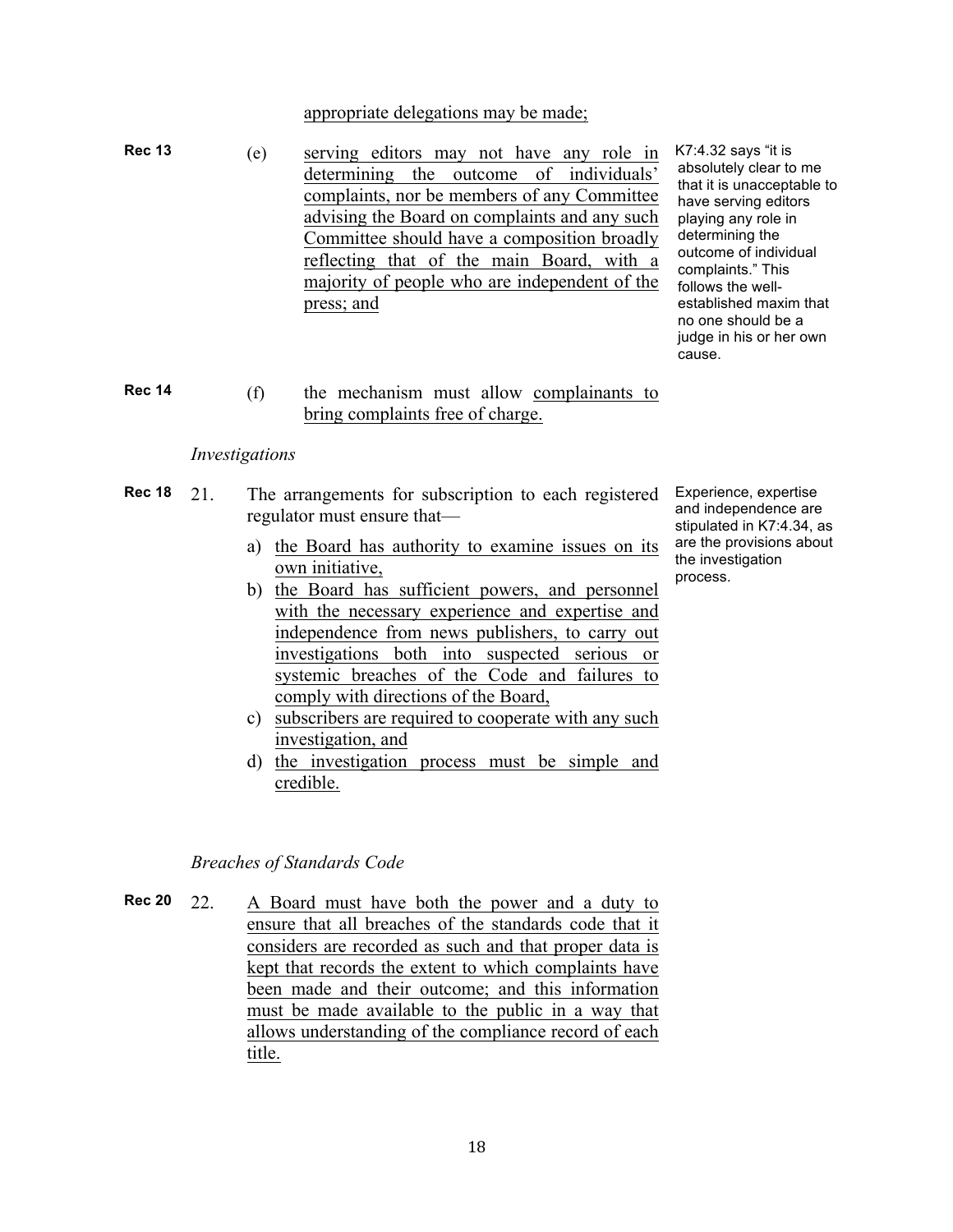# appropriate delegations may be made;

**Rec 13** (e) serving editors may not have any role in determining the outcome of individuals' complaints, nor be members of any Committee advising the Board on complaints and any such Committee should have a composition broadly reflecting that of the main Board, with a majority of people who are independent of the press; and

K7:4.32 says "it is absolutely clear to me that it is unacceptable to have serving editors playing any role in determining the outcome of individual complaints." This follows the wellestablished maxim that no one should be a judge in his or her own cause.

**Rec 14** (f) the mechanism must allow complainants to bring complaints free of charge.

#### *Investigations*

- **Rec 18** 21. The arrangements for subscription to each registered Experience, expertise regulator must ensure that
	- a) the Board has authority to examine issues on its own initiative,
	- b) the Board has sufficient powers, and personnel with the necessary experience and expertise and independence from news publishers, to carry out investigations both into suspected serious or systemic breaches of the Code and failures to comply with directions of the Board,
	- c) subscribers are required to cooperate with any such investigation, and
	- d) the investigation process must be simple and credible.

#### *Breaches of Standards Code*

**Rec 20** 22. A Board must have both the power and a duty to ensure that all breaches of the standards code that it considers are recorded as such and that proper data is kept that records the extent to which complaints have been made and their outcome; and this information must be made available to the public in a way that allows understanding of the compliance record of each title.

and independence are stipulated in K7:4.34, as are the provisions about the investigation process.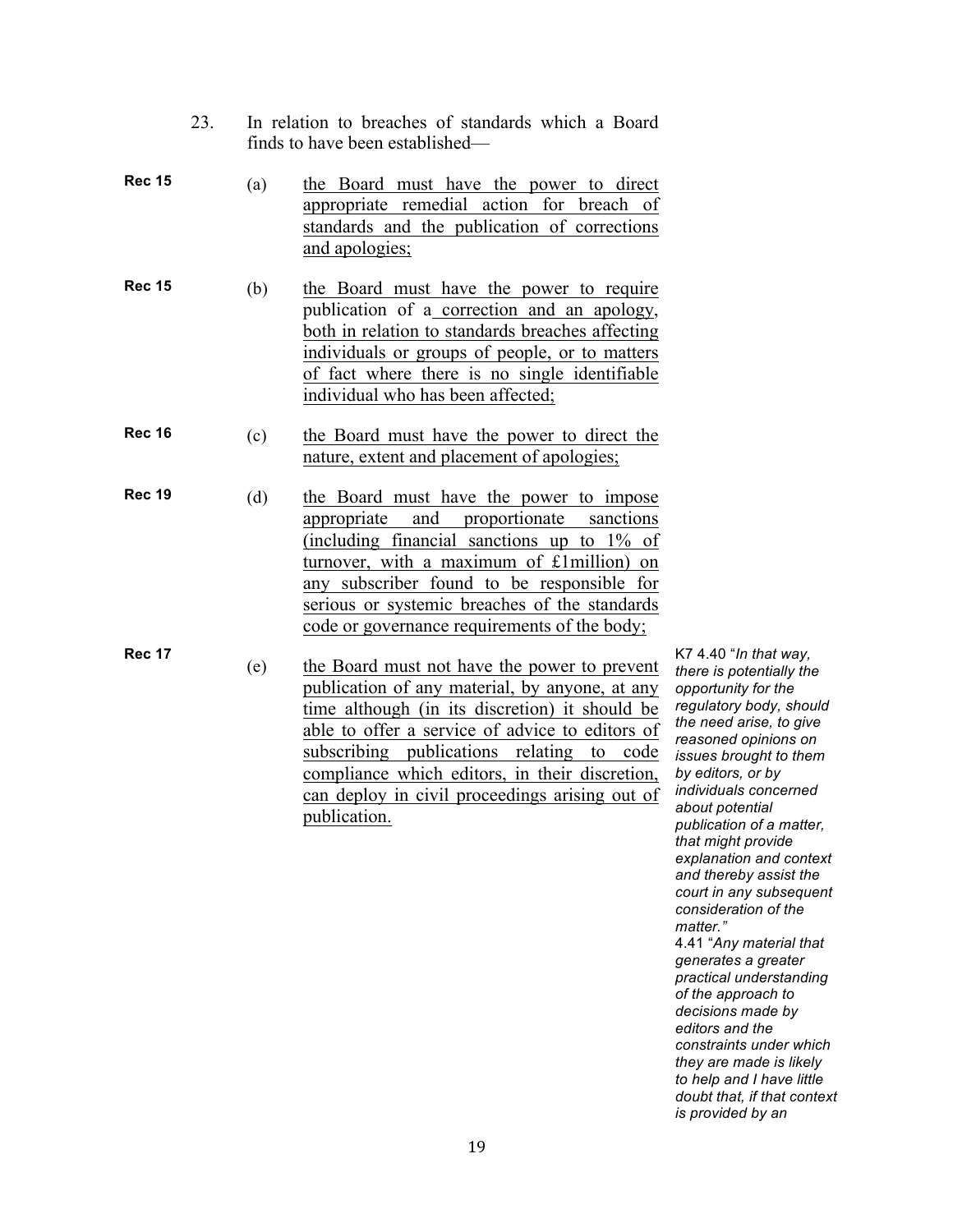|               | 23. |     | In relation to breaches of standards which a Board<br>finds to have been established—                                                                                                                                                                                                                                                                                      |                                                                                                                                                                                                                                                                                                                                        |
|---------------|-----|-----|----------------------------------------------------------------------------------------------------------------------------------------------------------------------------------------------------------------------------------------------------------------------------------------------------------------------------------------------------------------------------|----------------------------------------------------------------------------------------------------------------------------------------------------------------------------------------------------------------------------------------------------------------------------------------------------------------------------------------|
| <b>Rec 15</b> |     | (a) | the Board must have the power to direct<br>appropriate remedial action for breach of<br>standards and the publication of corrections<br>and apologies;                                                                                                                                                                                                                     |                                                                                                                                                                                                                                                                                                                                        |
| <b>Rec 15</b> |     | (b) | the Board must have the power to require<br>publication of a correction and an apology,<br>both in relation to standards breaches affecting<br>individuals or groups of people, or to matters<br>of fact where there is no single identifiable<br>individual who has been affected;                                                                                        |                                                                                                                                                                                                                                                                                                                                        |
| <b>Rec 16</b> |     | (c) | the Board must have the power to direct the<br>nature, extent and placement of apologies;                                                                                                                                                                                                                                                                                  |                                                                                                                                                                                                                                                                                                                                        |
| <b>Rec 19</b> |     | (d) | the Board must have the power to impose<br>appropriate and proportionate<br>sanctions<br>(including financial sanctions up to $1\%$ of<br>turnover, with a maximum of £1 million) on<br>any subscriber found to be responsible for<br>serious or systemic breaches of the standards<br>code or governance requirements of the body;                                        |                                                                                                                                                                                                                                                                                                                                        |
| <b>Rec 17</b> |     | (e) | the Board must not have the power to prevent<br>publication of any material, by anyone, at any<br>time although (in its discretion) it should be<br>able to offer a service of advice to editors of<br>subscribing publications relating<br>to<br>code<br>compliance which editors, in their discretion,<br>can deploy in civil proceedings arising out of<br>publication. | K7 4.40 "In that way,<br>there is potentially the<br>opportunity for the<br>regulatory body, shou<br>the need arise, to give<br>reasoned opinions or<br>issues brought to the<br>by editors, or by<br>individuals concerned<br>about potential<br>publication of a matte<br>that might provide<br>المستمتع المتمريمان مكافحته والمرزرة |

*the opportunity for the*  should *the need arise, to give reasoned opinions on issues brought to them by editors, or by individuals concerned*   $matter$ , *that might provide explanation and context and thereby assist the court in any subsequent consideration of the matter."* 4.41 "*Any material that generates a greater practical understanding of the approach to decisions made by editors and the constraints under which they are made is likely to help and I have little doubt that, if that context* 

*is provided by an*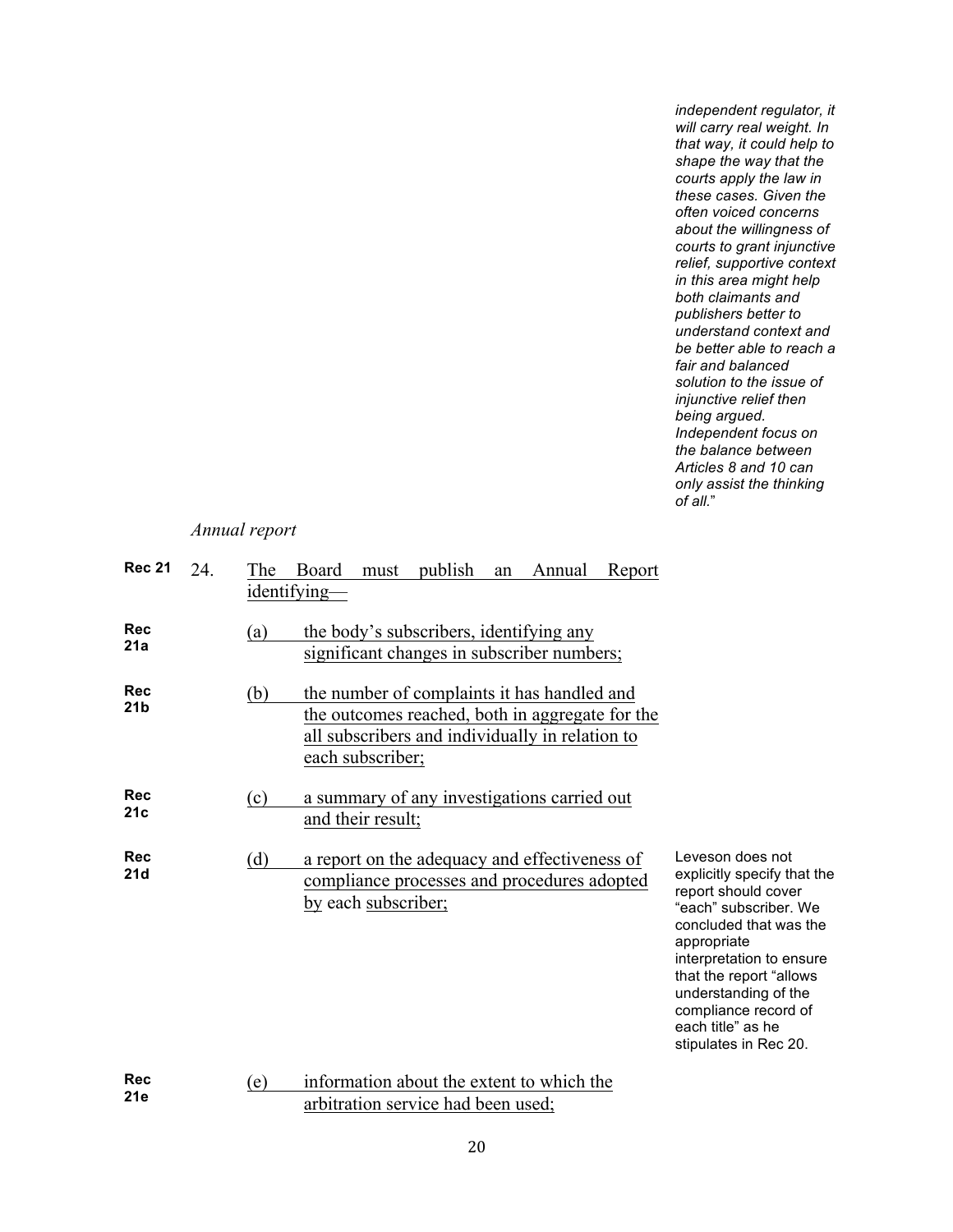*independent regulator, it will carry real weight. In that way, it could help to shape the way that the courts apply the law in these cases. Given the often voiced concerns about the willingness of courts to grant injunctive relief, supportive context in this area might help both claimants and publishers better to understand context and be better able to reach a fair and balanced solution to the issue of injunctive relief then being argued. Independent focus on the balance between Articles 8 and 10 can only assist the thinking of all.*"

# *Annual report*

| <b>Rec 21</b>                 | 24. | The | Board<br>publish<br>Report<br>Annual<br>must<br>an<br>identifying—                                                                                                    |                                                                                                                                                                                                                                                                                               |
|-------------------------------|-----|-----|-----------------------------------------------------------------------------------------------------------------------------------------------------------------------|-----------------------------------------------------------------------------------------------------------------------------------------------------------------------------------------------------------------------------------------------------------------------------------------------|
| <b>Rec</b><br>21a             |     | (a) | the body's subscribers, identifying any<br>significant changes in subscriber numbers;                                                                                 |                                                                                                                                                                                                                                                                                               |
| <b>Rec</b><br>21 <sub>b</sub> |     | (b) | the number of complaints it has handled and<br>the outcomes reached, both in aggregate for the<br>all subscribers and individually in relation to<br>each subscriber; |                                                                                                                                                                                                                                                                                               |
| Rec<br>21c                    |     | (c) | a summary of any investigations carried out<br>and their result;                                                                                                      |                                                                                                                                                                                                                                                                                               |
| <b>Rec</b><br>21d             |     | (d) | a report on the adequacy and effectiveness of<br>compliance processes and procedures adopted<br>by each subscriber;                                                   | Leveson does not<br>explicitly specify that the<br>report should cover<br>"each" subscriber. We<br>concluded that was the<br>appropriate<br>interpretation to ensure<br>that the report "allows<br>understanding of the<br>compliance record of<br>each title" as he<br>stipulates in Rec 20. |
| <b>Rec</b><br>21e             |     | (e) | information about the extent to which the<br>arkituati any aominina departementan'i C                                                                                 |                                                                                                                                                                                                                                                                                               |

**21e** (e) information about the extent to which the arbitration service had been used;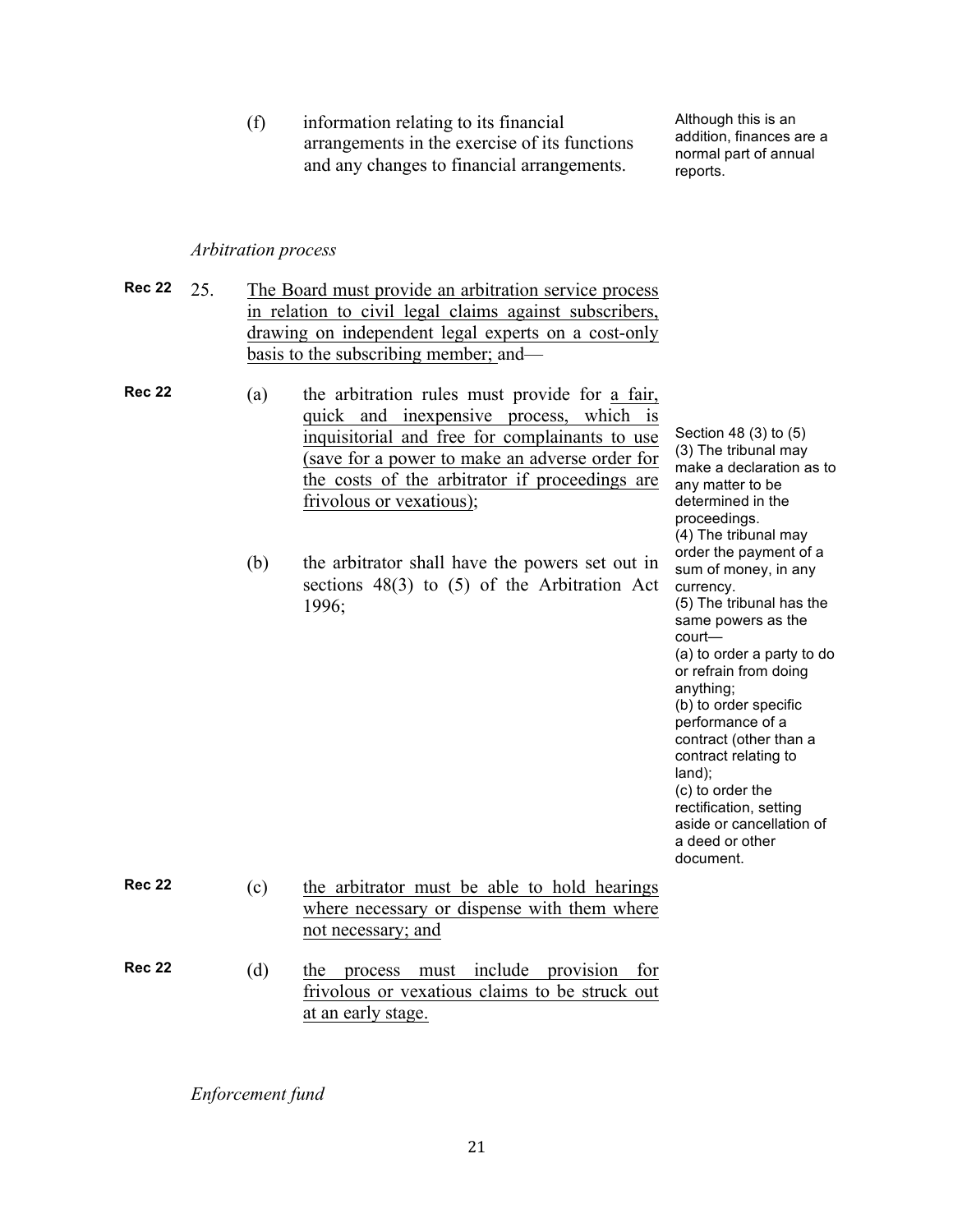(f) information relating to its financial arrangements in the exercise of its functions and any changes to financial arrangements.

Although this is an addition, finances are a normal part of annual reports.

#### *Arbitration process*

- **Rec 22** 25. The Board must provide an arbitration service process in relation to civil legal claims against subscribers, drawing on independent legal experts on a cost-only basis to the subscribing member; and—
- **Rec 22** (a) the arbitration rules must provide for a fair, quick and inexpensive process, which is inquisitorial and free for complainants to use (save for a power to make an adverse order for the costs of the arbitrator if proceedings are frivolous or vexatious);
	- (b) the arbitrator shall have the powers set out in sections 48(3) to (5) of the Arbitration Act 1996;

Section 48 (3) to (5) (3) The tribunal may make a declaration as to any matter to be determined in the proceedings. (4) The tribunal may order the payment of a sum of money, in any currency. (5) The tribunal has the same powers as the court— (a) to order a party to do or refrain from doing anything; (b) to order specific performance of a contract (other than a contract relating to land); (c) to order the rectification, setting aside or cancellation of a deed or other document.

**Rec 22** (c) the arbitrator must be able to hold hearings where necessary or dispense with them where not necessary; and **Rec 22** (d) the process must include provision for frivolous or vexatious claims to be struck out at an early stage.

*Enforcement fund*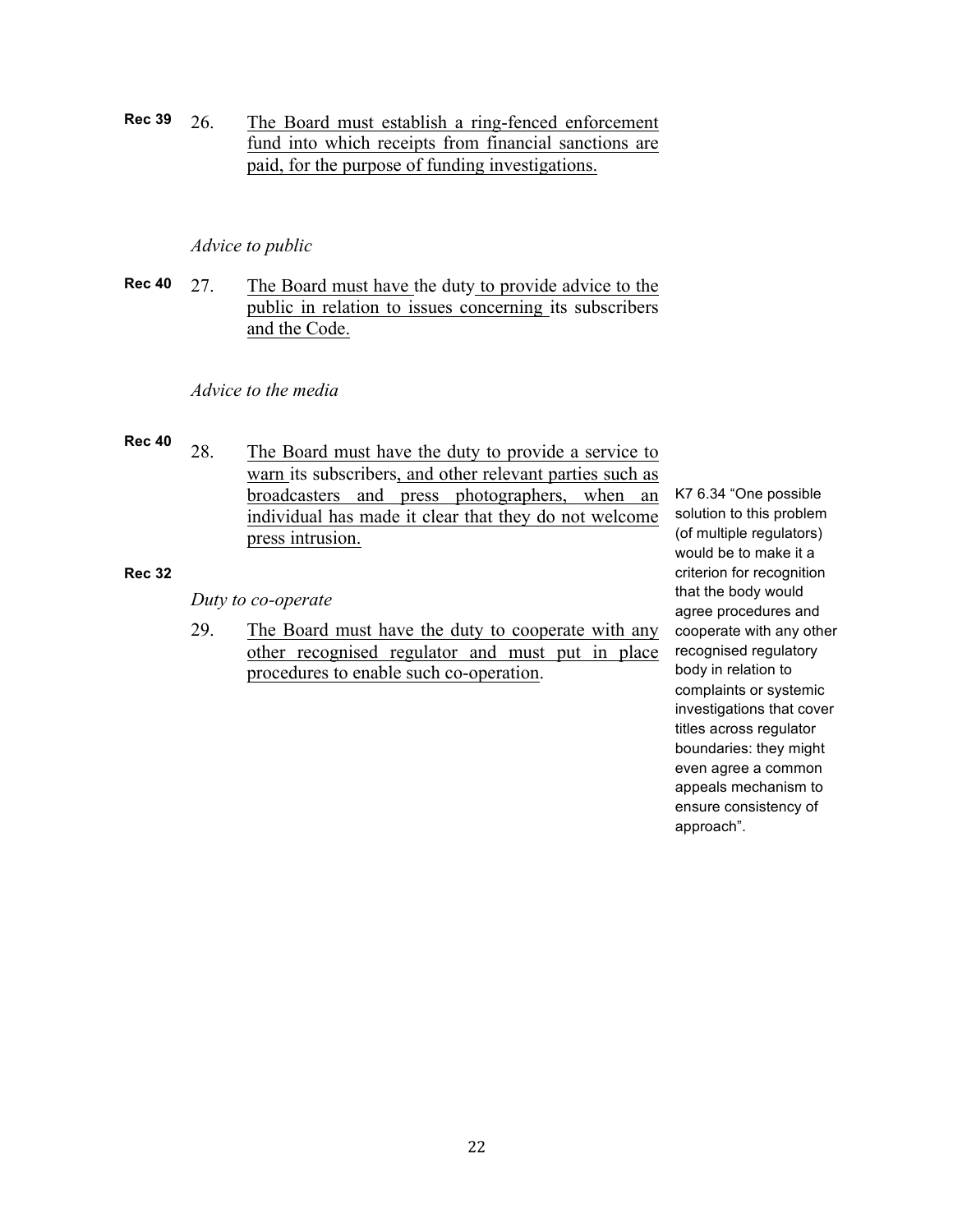**Rec 39** 26. The Board must establish a ring-fenced enforcement fund into which receipts from financial sanctions are paid, for the purpose of funding investigations.

#### *Advice to public*

**Rec 40** 27. The Board must have the duty to provide advice to the public in relation to issues concerning its subscribers and the Code.

#### *Advice to the media*

- **Rec 40**
	- 28. The Board must have the duty to provide a service to warn its subscribers, and other relevant parties such as broadcasters and press photographers, when an individual has made it clear that they do not welcome press intrusion.

#### **Rec 32**

#### *Duty to co-operate*

29. The Board must have the duty to cooperate with any other recognised regulator and must put in place procedures to enable such co-operation.

K7 6.34 "One possible solution to this problem (of multiple regulators) would be to make it a criterion for recognition that the body would agree procedures and cooperate with any other recognised regulatory body in relation to complaints or systemic investigations that cover titles across regulator boundaries: they might even agree a common appeals mechanism to ensure consistency of approach".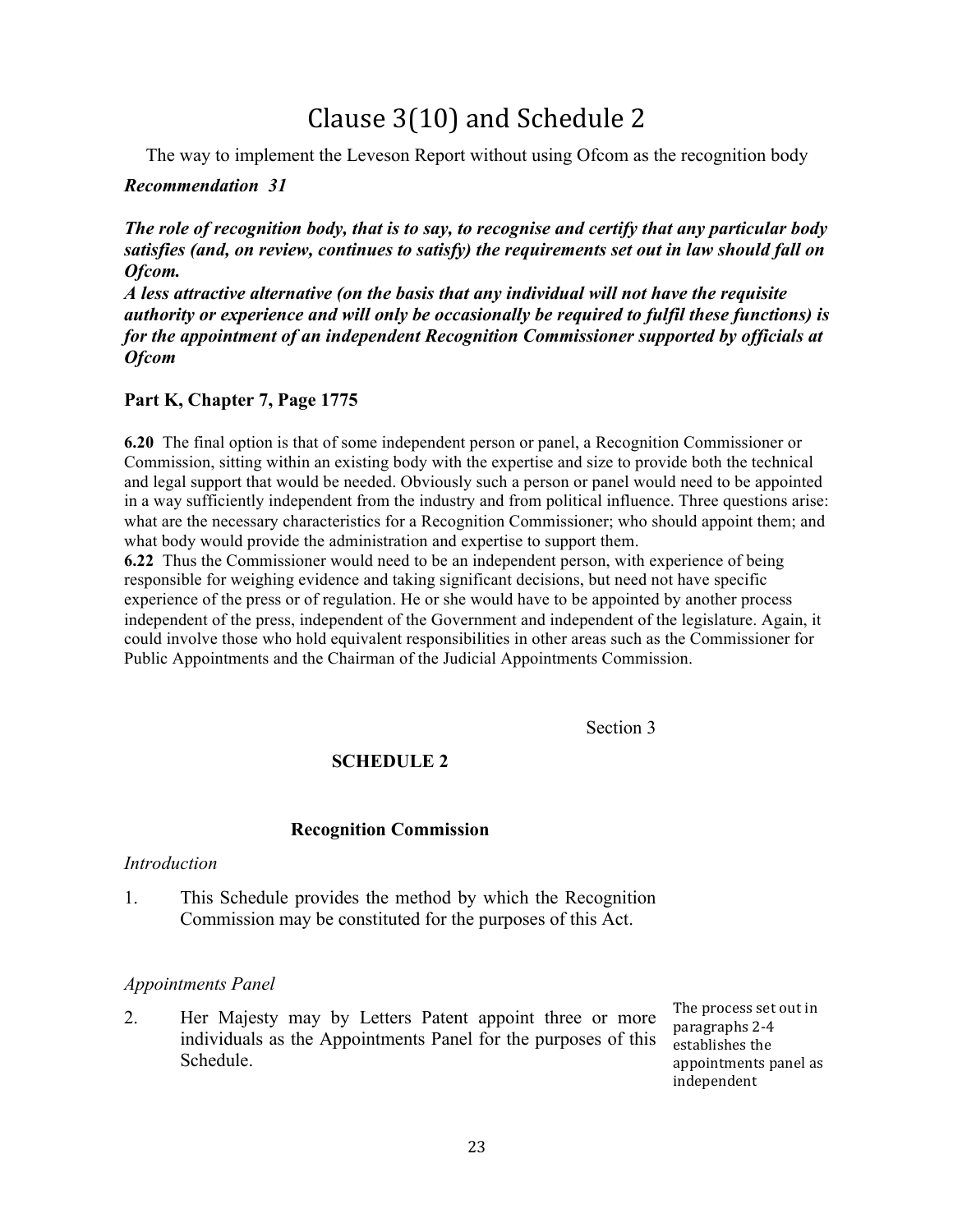# Clause 3(10) and Schedule 2

The way to implement the Leveson Report without using Ofcom as the recognition body

# *Recommendation 31*

*The role of recognition body, that is to say, to recognise and certify that any particular body satisfies (and, on review, continues to satisfy) the requirements set out in law should fall on Ofcom.* 

*A less attractive alternative (on the basis that any individual will not have the requisite authority or experience and will only be occasionally be required to fulfil these functions) is for the appointment of an independent Recognition Commissioner supported by officials at Ofcom*

# **Part K, Chapter 7, Page 1775**

**6.20** The final option is that of some independent person or panel, a Recognition Commissioner or Commission, sitting within an existing body with the expertise and size to provide both the technical and legal support that would be needed. Obviously such a person or panel would need to be appointed in a way sufficiently independent from the industry and from political influence. Three questions arise: what are the necessary characteristics for a Recognition Commissioner; who should appoint them; and what body would provide the administration and expertise to support them.

**6.22** Thus the Commissioner would need to be an independent person, with experience of being responsible for weighing evidence and taking significant decisions, but need not have specific experience of the press or of regulation. He or she would have to be appointed by another process independent of the press, independent of the Government and independent of the legislature. Again, it could involve those who hold equivalent responsibilities in other areas such as the Commissioner for Public Appointments and the Chairman of the Judicial Appointments Commission.

Section 3

# **SCHEDULE 2**

#### **Recognition Commission**

#### *Introduction*

1. This Schedule provides the method by which the Recognition Commission may be constituted for the purposes of this Act.

#### *Appointments Panel*

2. Her Majesty may by Letters Patent appoint three or more individuals as the Appointments Panel for the purposes of this Schedule.

The process set out in paragraphs 2-4 establishes the appointments panel as independent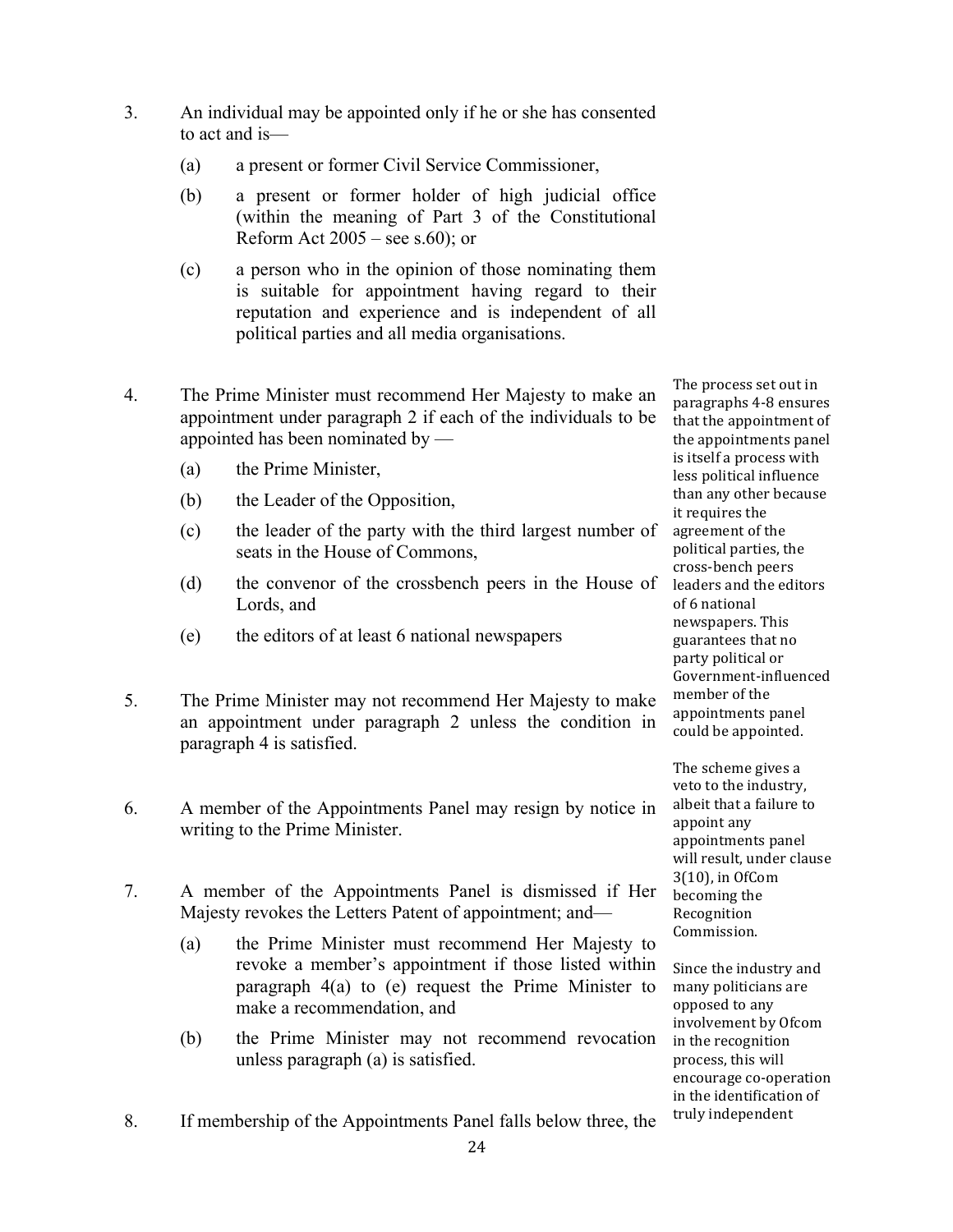- 3. An individual may be appointed only if he or she has consented to act and is—
	- (a) a present or former Civil Service Commissioner,
	- (b) a present or former holder of high judicial office (within the meaning of Part 3 of the Constitutional Reform Act  $2005$  – see s.60); or
	- (c) a person who in the opinion of those nominating them is suitable for appointment having regard to their reputation and experience and is independent of all political parties and all media organisations.
- 4. The Prime Minister must recommend Her Majesty to make an appointment under paragraph 2 if each of the individuals to be appointed has been nominated by —
	- (a) the Prime Minister,
	- (b) the Leader of the Opposition,
	- (c) the leader of the party with the third largest number of seats in the House of Commons,
	- (d) the convenor of the crossbench peers in the House of Lords, and
	- (e) the editors of at least 6 national newspapers
- 5. The Prime Minister may not recommend Her Majesty to make an appointment under paragraph 2 unless the condition in paragraph 4 is satisfied.
- 6. A member of the Appointments Panel may resign by notice in writing to the Prime Minister.
- 7. A member of the Appointments Panel is dismissed if Her Majesty revokes the Letters Patent of appointment; and—
	- (a) the Prime Minister must recommend Her Majesty to revoke a member's appointment if those listed within paragraph 4(a) to (e) request the Prime Minister to make a recommendation, and
	- (b) the Prime Minister may not recommend revocation unless paragraph (a) is satisfied.
- 8. If membership of the Appointments Panel falls below three, the

The process set out in paragraphs 4-8 ensures that the appointment of the appointments panel is itself a process with less political influence than any other because it requires the agreement of the political parties, the cross-bench peers leaders and the editors of 6 national newspapers. This guarantees that no party political or Government-influenced member of the appointments panel could be appointed.

The scheme gives a veto to the industry, albeit that a failure to appoint any appointments panel will result, under clause 3(10), in OfCom becoming the Recognition Commission.

Since the industry and many politicians are opposed to any involvement by Ofcom in the recognition process, this will encourage co-operation in the identification of truly independent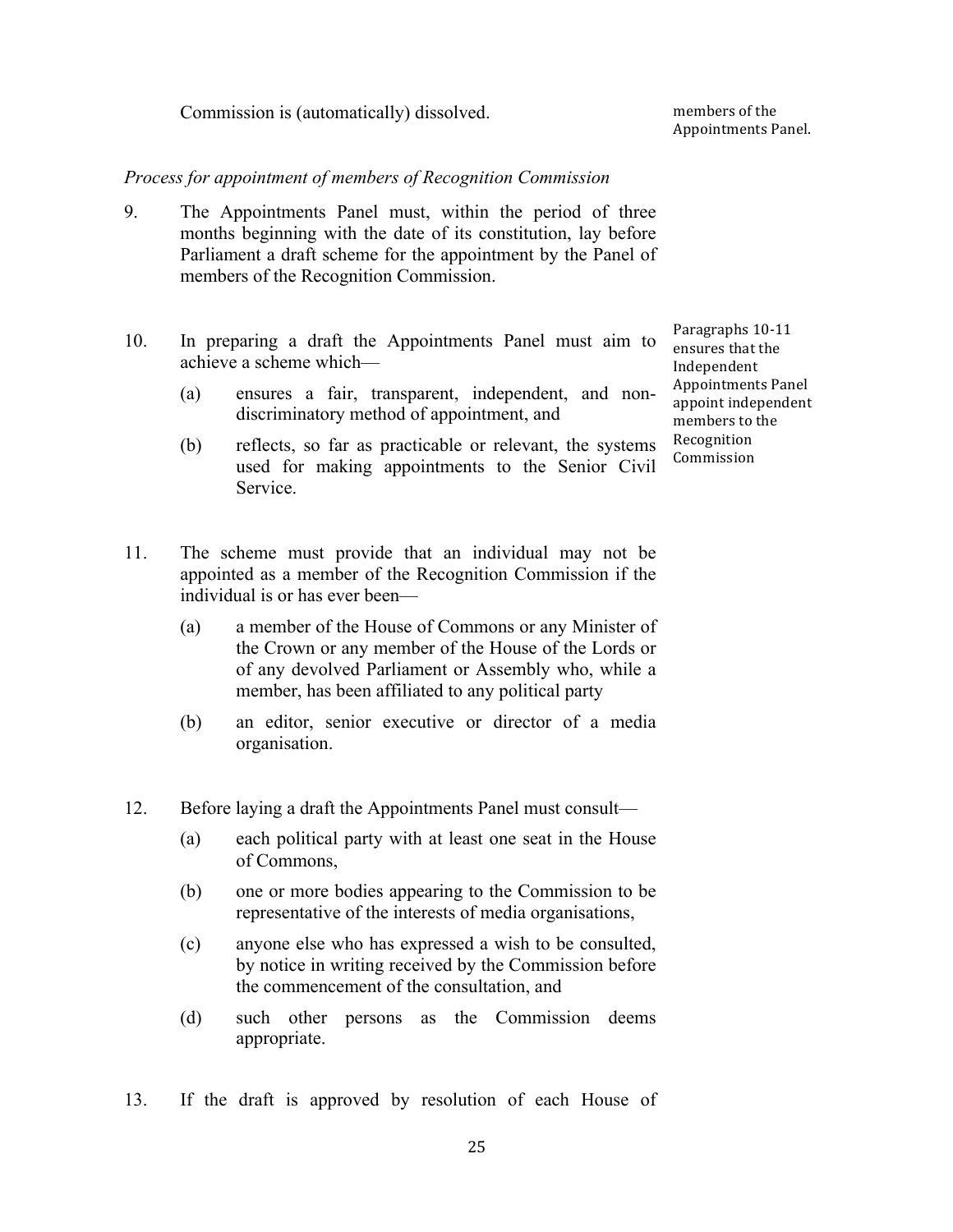Commission is (automatically) dissolved.

members of the Appointments Panel.

#### *Process for appointment of members of Recognition Commission*

- 9. The Appointments Panel must, within the period of three months beginning with the date of its constitution, lay before Parliament a draft scheme for the appointment by the Panel of members of the Recognition Commission.
- 10. In preparing a draft the Appointments Panel must aim to achieve a scheme which—
	- (a) ensures a fair, transparent, independent, and nondiscriminatory method of appointment, and
	- (b) reflects, so far as practicable or relevant, the systems used for making appointments to the Senior Civil Service.
- 11. The scheme must provide that an individual may not be appointed as a member of the Recognition Commission if the individual is or has ever been—
	- (a) a member of the House of Commons or any Minister of the Crown or any member of the House of the Lords or of any devolved Parliament or Assembly who, while a member, has been affiliated to any political party
	- (b) an editor, senior executive or director of a media organisation.
- 12. Before laying a draft the Appointments Panel must consult—
	- (a) each political party with at least one seat in the House of Commons,
	- (b) one or more bodies appearing to the Commission to be representative of the interests of media organisations,
	- (c) anyone else who has expressed a wish to be consulted, by notice in writing received by the Commission before the commencement of the consultation, and
	- (d) such other persons as the Commission deems appropriate.
- 13. If the draft is approved by resolution of each House of

Paragraphs 10-11 ensures that the Independent Appointments Panel appoint independent members to the Recognition Commission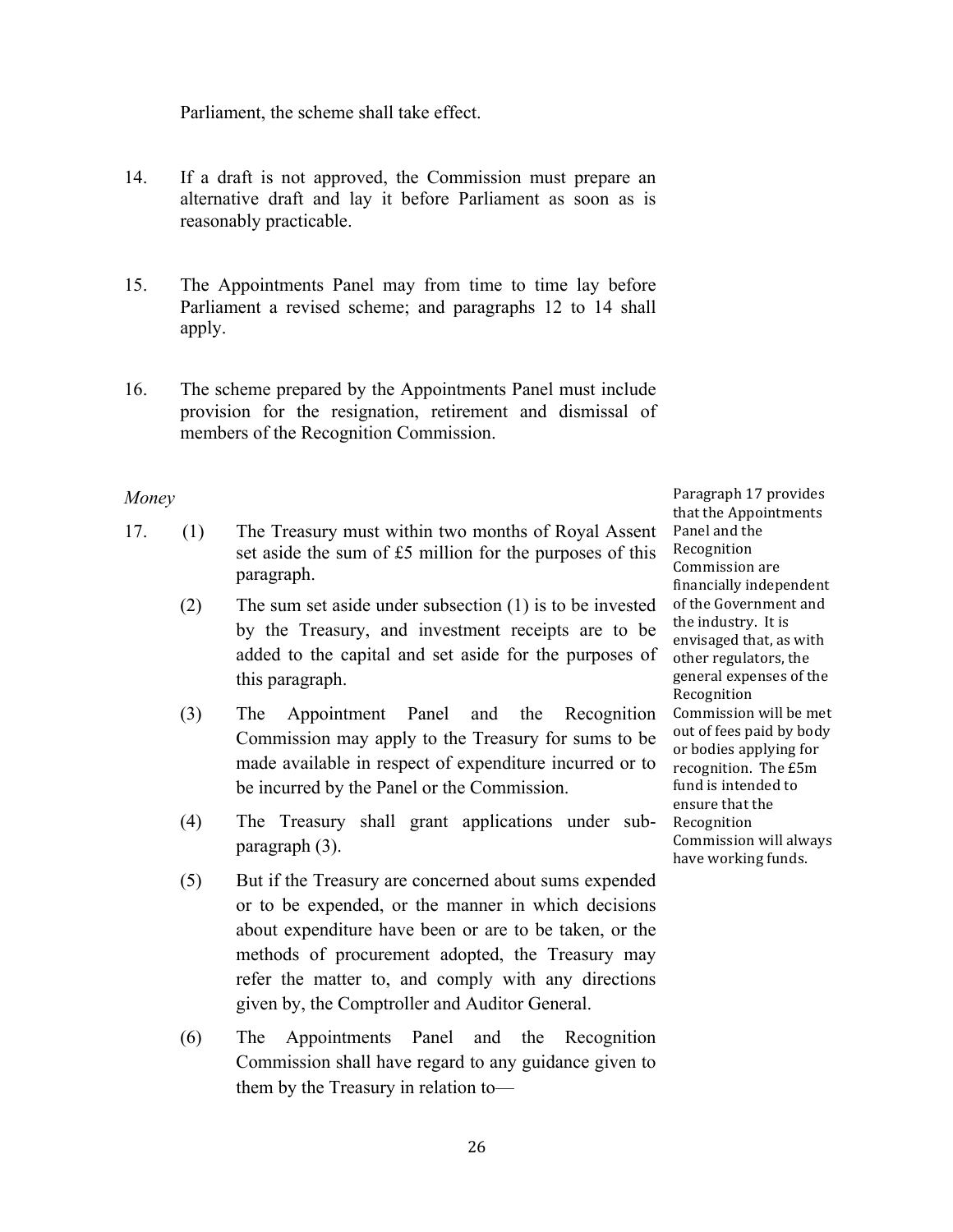Parliament, the scheme shall take effect.

- 14. If a draft is not approved, the Commission must prepare an alternative draft and lay it before Parliament as soon as is reasonably practicable.
- 15. The Appointments Panel may from time to time lay before Parliament a revised scheme; and paragraphs 12 to 14 shall apply.
- 16. The scheme prepared by the Appointments Panel must include provision for the resignation, retirement and dismissal of members of the Recognition Commission.

# *Money*

- 17. (1) The Treasury must within two months of Royal Assent set aside the sum of £5 million for the purposes of this paragraph.
	- (2) The sum set aside under subsection (1) is to be invested by the Treasury, and investment receipts are to be added to the capital and set aside for the purposes of this paragraph.
	- (3) The Appointment Panel and the Recognition Commission may apply to the Treasury for sums to be made available in respect of expenditure incurred or to be incurred by the Panel or the Commission.
	- (4) The Treasury shall grant applications under subparagraph (3).
	- (5) But if the Treasury are concerned about sums expended or to be expended, or the manner in which decisions about expenditure have been or are to be taken, or the methods of procurement adopted, the Treasury may refer the matter to, and comply with any directions given by, the Comptroller and Auditor General.
	- (6) The Appointments Panel and the Recognition Commission shall have regard to any guidance given to them by the Treasury in relation to—

Paragraph 17 provides that the Appointments Panel and the Recognition Commission are financially independent of the Government and the industry. It is envisaged that, as with other regulators, the general expenses of the Recognition Commission will be met out of fees paid by body or bodies applying for recognition. The £5m fund is intended to ensure that the Recognition Commission will always have working funds.